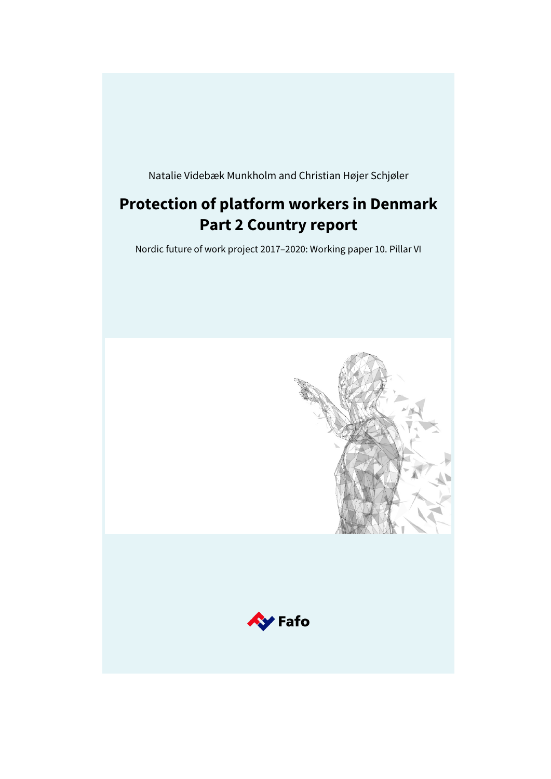Natalie Videbæk Munkholm and Christian Højer Schjøler

# **Protection of platform workers in Denmark Part 2 Country report**

Nordic future of work project 2017–2020: Working paper 10. Pillar VI

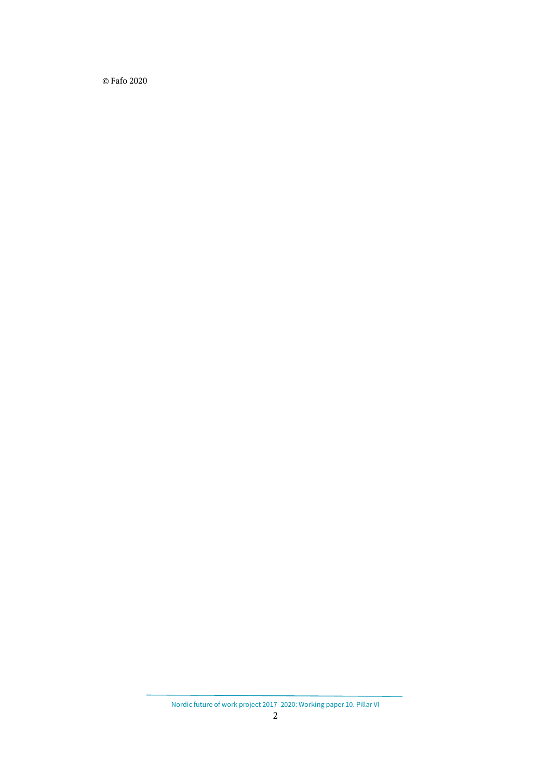© Fafo 2020

Nordic future of work project 2017–2020: Working paper 10. Pillar VI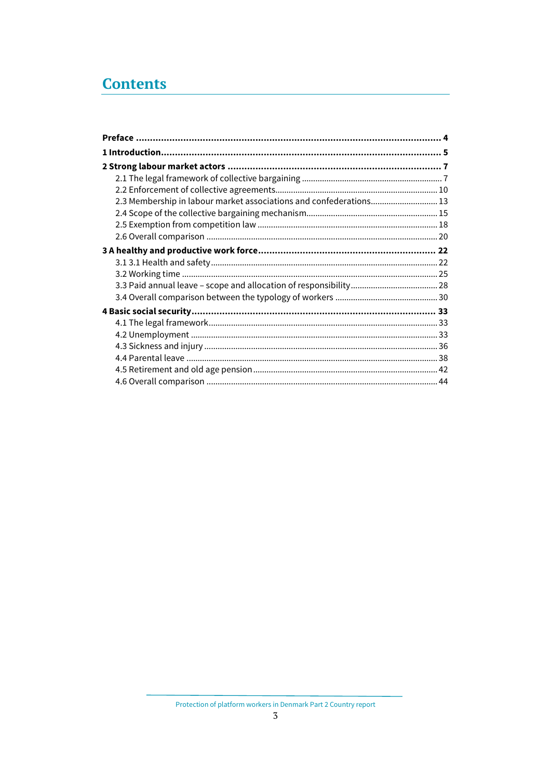# **Contents**

| 2.3 Membership in labour market associations and confederations 13 |  |
|--------------------------------------------------------------------|--|
|                                                                    |  |
|                                                                    |  |
|                                                                    |  |
|                                                                    |  |
|                                                                    |  |
|                                                                    |  |
|                                                                    |  |
|                                                                    |  |
|                                                                    |  |
|                                                                    |  |
|                                                                    |  |
|                                                                    |  |
|                                                                    |  |
|                                                                    |  |
|                                                                    |  |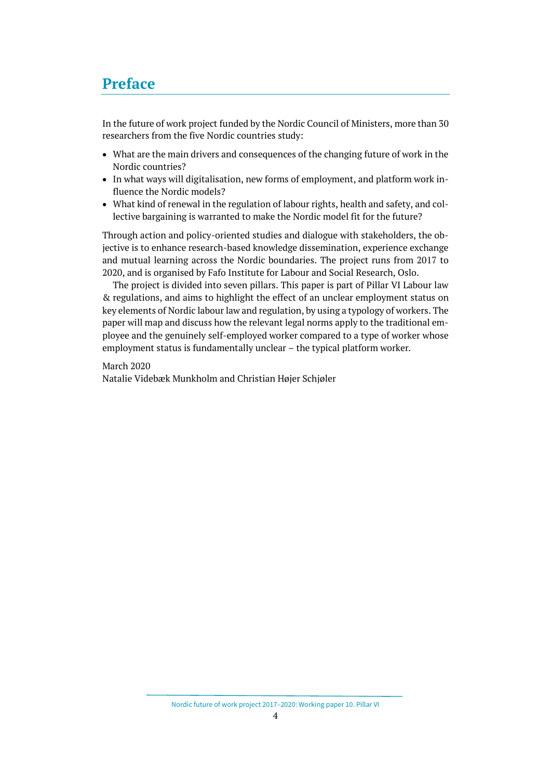# <span id="page-3-0"></span>**Preface**

In the future of work project funded by the Nordic Council of Ministers, more than 30 researchers from the five Nordic countries study:

- What are the main drivers and consequences of the changing future of work in the Nordic countries?
- In what ways will digitalisation, new forms of employment, and platform work influence the Nordic models?
- What kind of renewal in the regulation of labour rights, health and safety, and collective bargaining is warranted to make the Nordic model fit for the future?

Through action and policy-oriented studies and dialogue with stakeholders, the objective is to enhance research-based knowledge dissemination, experience exchange and mutual learning across the Nordic boundaries. The project runs from 2017 to 2020, and is organised by Fafo Institute for Labour and Social Research, Oslo.

The project is divided into seven pillars. This paper is part of Pillar VI Labour law & regulations, and aims to highlight the effect of an unclear employment status on key elements of Nordic labour law and regulation, by using a typology of workers. The paper will map and discuss how the relevant legal norms apply to the traditional employee and the genuinely self-employed worker compared to a type of worker whose employment status is fundamentally unclear – the typical platform worker*.*

March 2020

Natalie Videbæk Munkholm and Christian Højer Schjøler

Nordic future of work project 2017–2020: Working paper 10. Pillar VI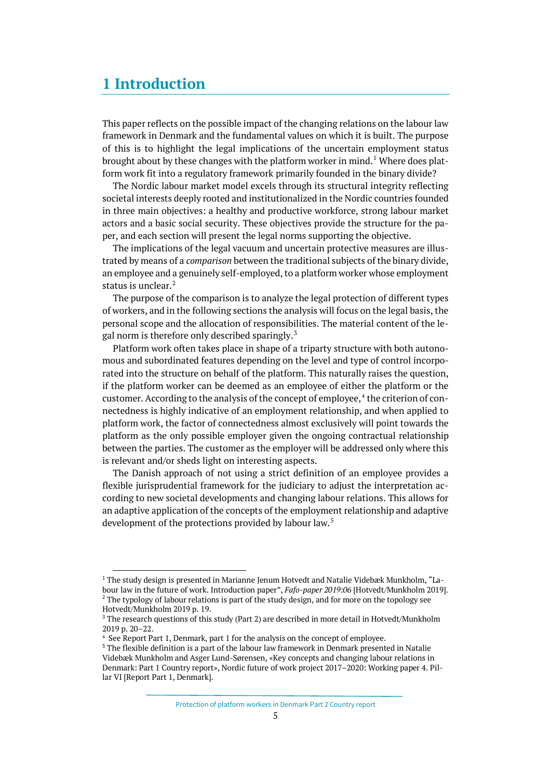# <span id="page-4-0"></span>**1 Introduction**

This paper reflects on the possible impact of the changing relations on the labour law framework in Denmark and the fundamental values on which it is built. The purpose of this is to highlight the legal implications of the uncertain employment status brought about by these changes with the platform worker in mind.[1](#page-4-1) Where does platform work fit into a regulatory framework primarily founded in the binary divide?

The Nordic labour market model excels through its structural integrity reflecting societal interests deeply rooted and institutionalized in the Nordic countries founded in three main objectives: a healthy and productive workforce, strong labour market actors and a basic social security. These objectives provide the structure for the paper, and each section will present the legal norms supporting the objective.

The implications of the legal vacuum and uncertain protective measures are illustrated by means of a *comparison* between the traditional subjects of the binary divide, an employee and a genuinely self-employed, to a platform worker whose employment status is unclear.<sup>[2](#page-4-2)</sup>

The purpose of the comparison is to analyze the legal protection of different types of workers, and in the following sections the analysis will focus on the legal basis, the personal scope and the allocation of responsibilities. The material content of the le-gal norm is therefore only described sparingly.<sup>[3](#page-4-3)</sup>

Platform work often takes place in shape of a triparty structure with both autonomous and subordinated features depending on the level and type of control incorporated into the structure on behalf of the platform. This naturally raises the question, if the platform worker can be deemed as an employee of either the platform or the customer. According to the analysis of the concept of employee,<sup>[4](#page-4-4)</sup> the criterion of connectedness is highly indicative of an employment relationship, and when applied to platform work, the factor of connectedness almost exclusively will point towards the platform as the only possible employer given the ongoing contractual relationship between the parties. The customer as the employer will be addressed only where this is relevant and/or sheds light on interesting aspects.

The Danish approach of not using a strict definition of an employee provides a flexible jurisprudential framework for the judiciary to adjust the interpretation according to new societal developments and changing labour relations. This allows for an adaptive application of the concepts of the employment relationship and adaptive development of the protections provided by labour law. [5](#page-4-5)

<span id="page-4-1"></span><sup>&</sup>lt;sup>1</sup> The study design is presented in Marianne Jenum Hotvedt and Natalie Videbæk Munkholm, "Labour law in the future of work. Introduction paper", *Fafo-paper 2019:06* [Hotvedt/Munkholm 2019]. <sup>2</sup> The typology of labour relations is part of the study design, and for more on the topology see Hotvedt/Munkholm 2019 p. 19.

<span id="page-4-3"></span><span id="page-4-2"></span><sup>&</sup>lt;sup>3</sup> The research questions of this study (Part 2) are described in more detail in Hotvedt/Munkholm 2019 p. 20–22.

<span id="page-4-4"></span><sup>4</sup> See Report Part 1, Denmark, part 1 for the analysis on the concept of employee.

<span id="page-4-5"></span> $5$  The flexible definition is a part of the labour law framework in Denmark presented in Natalie Videbæk Munkholm and Asger Lund-Sørensen, «Key concepts and changing labour relations in Denmark: Part 1 Country report», Nordic future of work project 2017–2020: Working paper 4. Pillar VI [Report Part 1, Denmark].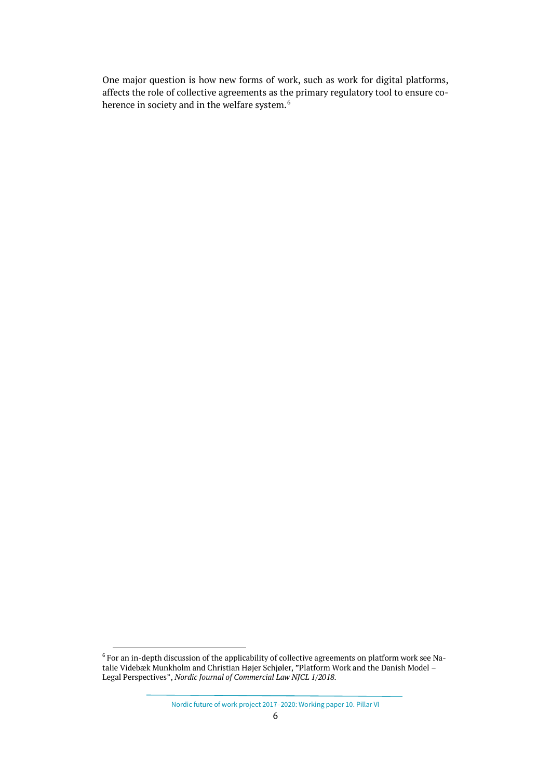One major question is how new forms of work, such as work for digital platforms, affects the role of collective agreements as the primary regulatory tool to ensure co-herence in society and in the welfare system.<sup>[6](#page-5-0)</sup>

<span id="page-5-0"></span> $^6$  For an in-depth discussion of the applicability of collective agreements on platform work see Natalie Videbæk Munkholm and Christian Højer Schjøler, "Platform Work and the Danish Model – Legal Perspectives", *Nordic Journal of Commercial Law NJCL 1/2018.*

Nordic future of work project 2017–2020: Working paper 10. Pillar VI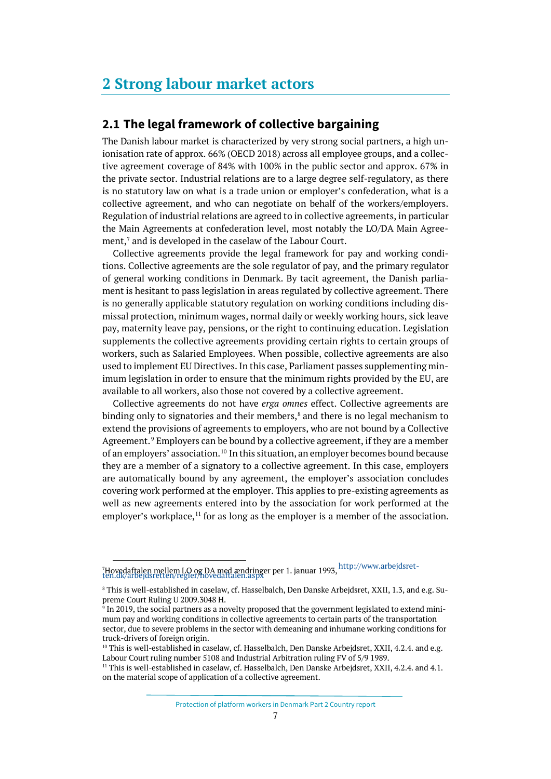# <span id="page-6-0"></span>**2 Strong labour market actors**

# <span id="page-6-1"></span>**2.1 The legal framework of collective bargaining**

The Danish labour market is characterized by very strong social partners, a high unionisation rate of approx. 66% (OECD 2018) across all employee groups, and a collective agreement coverage of 84% with 100% in the public sector and approx. 67% in the private sector. Industrial relations are to a large degree self-regulatory, as there is no statutory law on what is a trade union or employer's confederation, what is a collective agreement, and who can negotiate on behalf of the workers/employers. Regulation of industrial relations are agreed to in collective agreements, in particular the Main Agreements at confederation level, most notably the LO/DA Main Agree-ment,<sup>[7](#page-6-2)</sup> and is developed in the caselaw of the Labour Court.

Collective agreements provide the legal framework for pay and working conditions. Collective agreements are the sole regulator of pay, and the primary regulator of general working conditions in Denmark. By tacit agreement, the Danish parliament is hesitant to pass legislation in areas regulated by collective agreement. There is no generally applicable statutory regulation on working conditions including dismissal protection, minimum wages, normal daily or weekly working hours, sick leave pay, maternity leave pay, pensions, or the right to continuing education. Legislation supplements the collective agreements providing certain rights to certain groups of workers, such as Salaried Employees. When possible, collective agreements are also used to implement EU Directives. In this case, Parliament passes supplementing minimum legislation in order to ensure that the minimum rights provided by the EU, are available to all workers, also those not covered by a collective agreement.

Collective agreements do not have *erga omnes* effect. Collective agreements are binding only to signatories and their members, [8](#page-6-3) and there is no legal mechanism to extend the provisions of agreements to employers, who are not bound by a Collective Agreement.<sup>[9](#page-6-4)</sup> Employers can be bound by a collective agreement, if they are a member of an employers' association.<sup>[10](#page-6-5)</sup> In this situation, an employer becomes bound because they are a member of a signatory to a collective agreement. In this case, employers are automatically bound by any agreement, the employer's association concludes covering work performed at the employer. This applies to pre-existing agreements as well as new agreements entered into by the association for work performed at the employer's workplace, $<sup>11</sup>$  $<sup>11</sup>$  $<sup>11</sup>$  for as long as the employer is a member of the association.</sup>

<span id="page-6-2"></span><sup>&</sup>lt;sup>7</sup>Hovedaftalen mellem LO og DA med ændringer per 1. januar 1993, <sup>http://www.arbejdsret-<br>[ten.dk/arbejdsretten/regler/hovedaftalen.aspx](http://www.arbejdsretten.dk/arbejdsretten/regler/hovedaftalen.aspx)</sup>

<span id="page-6-3"></span><sup>8</sup> This is well-established in caselaw, cf. Hasselbalch, Den Danske Arbejdsret, XXII, 1.3, and e.g. Supreme Court Ruling U 2009.3048 H.

<span id="page-6-4"></span><sup>9</sup> In 2019, the social partners as a novelty proposed that the government legislated to extend minimum pay and working conditions in collective agreements to certain parts of the transportation sector, due to severe problems in the sector with demeaning and inhumane working conditions for truck-drivers of foreign origin.<br><sup>10</sup> This is well-established in caselaw, cf. Hasselbalch, Den Danske Arbejdsret, XXII, 4.2.4. and e.g.

<span id="page-6-5"></span>Labour Court ruling number 5108 and Industrial Arbitration ruling FV of 5/9 1989.

<span id="page-6-6"></span><sup>&</sup>lt;sup>11</sup> This is well-established in caselaw, cf. Hasselbalch, Den Danske Arbejdsret, XXII, 4.2.4. and 4.1. on the material scope of application of a collective agreement.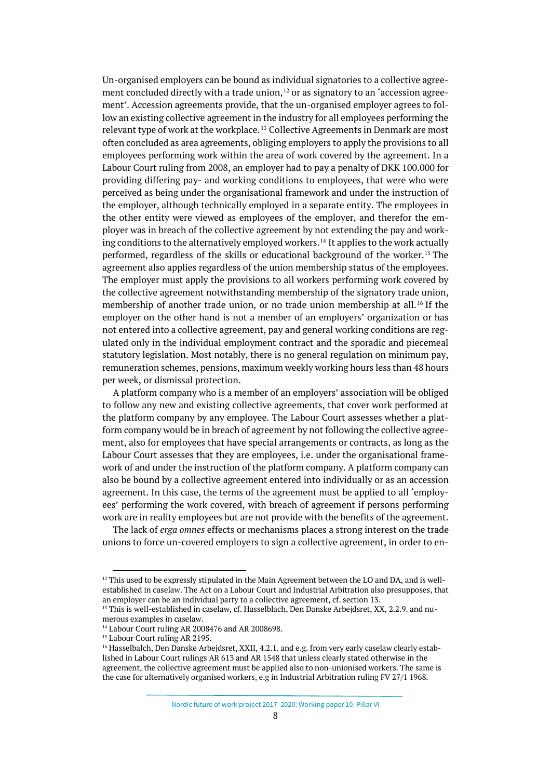Un-organised employers can be bound as individual signatories to a collective agreement concluded directly with a trade union,  $^{12}$  $^{12}$  $^{12}$  or as signatory to an 'accession agreement'. Accession agreements provide, that the un-organised employer agrees to follow an existing collective agreement in the industry for all employees performing the relevant type of work at the workplace. [13](#page-7-1) Collective Agreements in Denmark are most often concluded as area agreements, obliging employers to apply the provisions to all employees performing work within the area of work covered by the agreement. In a Labour Court ruling from 2008, an employer had to pay a penalty of DKK 100.000 for providing differing pay- and working conditions to employees, that were who were perceived as being under the organisational framework and under the instruction of the employer, although technically employed in a separate entity. The employees in the other entity were viewed as employees of the employer, and therefor the employer was in breach of the collective agreement by not extending the pay and work-ing conditions to the alternatively employed workers.<sup>[14](#page-7-2)</sup> It applies to the work actually performed, regardless of the skills or educational background of the worker.[15](#page-7-3) The agreement also applies regardless of the union membership status of the employees. The employer must apply the provisions to all workers performing work covered by the collective agreement notwithstanding membership of the signatory trade union, membership of another trade union, or no trade union membership at all.<sup>[16](#page-7-4)</sup> If the employer on the other hand is not a member of an employers' organization or has not entered into a collective agreement, pay and general working conditions are regulated only in the individual employment contract and the sporadic and piecemeal statutory legislation. Most notably, there is no general regulation on minimum pay, remuneration schemes, pensions, maximum weekly working hours less than 48 hours per week, or dismissal protection.

A platform company who is a member of an employers' association will be obliged to follow any new and existing collective agreements, that cover work performed at the platform company by any employee. The Labour Court assesses whether a platform company would be in breach of agreement by not following the collective agreement, also for employees that have special arrangements or contracts, as long as the Labour Court assesses that they are employees, i.e. under the organisational framework of and under the instruction of the platform company. A platform company can also be bound by a collective agreement entered into individually or as an accession agreement. In this case, the terms of the agreement must be applied to all 'employees' performing the work covered, with breach of agreement if persons performing work are in reality employees but are not provide with the benefits of the agreement.

The lack of *erga omnes* effects or mechanisms places a strong interest on the trade unions to force un-covered employers to sign a collective agreement, in order to en-

<span id="page-7-0"></span> $12$  This used to be expressly stipulated in the Main Agreement between the LO and DA, and is wellestablished in caselaw. The Act on a Labour Court and Industrial Arbitration also presupposes, that an employer can be an individual party to a collective agreement, cf. section 13.

<span id="page-7-1"></span><sup>&</sup>lt;sup>13</sup> This is well-established in caselaw, cf. Hasselblach, Den Danske Arbejdsret, XX, 2.2.9. and numerous examples in caselaw.

<span id="page-7-2"></span><sup>&</sup>lt;sup>14</sup> Labour Court ruling AR 2008476 and AR 2008698.

<span id="page-7-3"></span><sup>&</sup>lt;sup>15</sup> Labour Court ruling AR 2195.

<span id="page-7-4"></span><sup>&</sup>lt;sup>16</sup> Hasselbalch, Den Danske Arbejdsret, XXII, 4.2.1. and e.g. from very early caselaw clearly established in Labour Court rulings AR 613 and AR 1548 that unless clearly stated otherwise in the agreement, the collective agreement must be applied also to non-unionised workers. The same is the case for alternatively organised workers, e.g in Industrial Arbitration ruling FV 27/1 1968.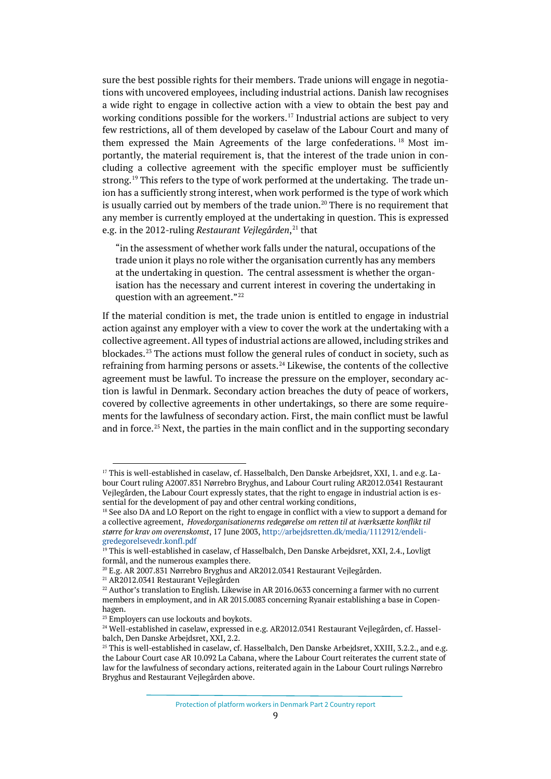sure the best possible rights for their members. Trade unions will engage in negotiations with uncovered employees, including industrial actions. Danish law recognises a wide right to engage in collective action with a view to obtain the best pay and working conditions possible for the workers.<sup>[17](#page-8-0)</sup> Industrial actions are subject to very few restrictions, all of them developed by caselaw of the Labour Court and many of them expressed the Main Agreements of the large confederations.<sup>[18](#page-8-1)</sup> Most importantly, the material requirement is, that the interest of the trade union in concluding a collective agreement with the specific employer must be sufficiently strong.<sup>[19](#page-8-2)</sup> This refers to the type of work performed at the undertaking. The trade union has a sufficiently strong interest, when work performed is the type of work which is usually carried out by members of the trade union.<sup>[20](#page-8-3)</sup> There is no requirement that any member is currently employed at the undertaking in question. This is expressed e.g. in the 2012-ruling *Restaurant Vejlegården*, [21](#page-8-4) that

"in the assessment of whether work falls under the natural, occupations of the trade union it plays no role wither the organisation currently has any members at the undertaking in question. The central assessment is whether the organisation has the necessary and current interest in covering the undertaking in question with an agreement."<sup>[22](#page-8-5)</sup>

If the material condition is met, the trade union is entitled to engage in industrial action against any employer with a view to cover the work at the undertaking with a collective agreement. All types of industrial actions are allowed, including strikes and blockades.[23](#page-8-6) The actions must follow the general rules of conduct in society, such as refraining from harming persons or assets. $^{24}$  $^{24}$  $^{24}$  Likewise, the contents of the collective agreement must be lawful. To increase the pressure on the employer, secondary action is lawful in Denmark. Secondary action breaches the duty of peace of workers, covered by collective agreements in other undertakings, so there are some requirements for the lawfulness of secondary action. First, the main conflict must be lawful and in force.[25](#page-8-8) Next, the parties in the main conflict and in the supporting secondary

<span id="page-8-0"></span><sup>&</sup>lt;sup>17</sup> This is well-established in caselaw, cf. Hasselbalch, Den Danske Arbejdsret, XXI, 1. and e.g. Labour Court ruling A2007.831 Nørrebro Bryghus, and Labour Court ruling AR2012.0341 Restaurant Vejlegården, the Labour Court expressly states, that the right to engage in industrial action is essential for the development of pay and other central working conditions,

<span id="page-8-1"></span><sup>&</sup>lt;sup>18</sup> See also DA and LO Report on the right to engage in conflict with a view to support a demand for a collective agreement, *Hovedorganisationerns redegørelse om retten til at iværksætte konflikt til større for krav om overenskomst*, 17 June 2003[, http://arbejdsretten.dk/media/1112912/endeli](http://arbejdsretten.dk/media/1112912/endeligredegorelsevedr.konfl.pdf)[gredegorelsevedr.konfl.pdf](http://arbejdsretten.dk/media/1112912/endeligredegorelsevedr.konfl.pdf)

<span id="page-8-2"></span><sup>&</sup>lt;sup>19</sup> This is well-established in caselaw, cf Hasselbalch, Den Danske Arbejdsret, XXI, 2.4., Lovligt formål, and the numerous examples there.

<span id="page-8-3"></span><sup>20</sup> E.g. AR 2007.831 Nørrebro Bryghus and AR2012.0341 Restaurant Vejlegården.

<span id="page-8-4"></span><sup>21</sup> AR2012.0341 Restaurant Vejlegården

<span id="page-8-5"></span> $22$  Author's translation to English. Likewise in AR 2016.0633 concerning a farmer with no current members in employment, and in AR 2015.0083 concerning Ryanair establishing a base in Copenhagen.

<span id="page-8-6"></span><sup>&</sup>lt;sup>23</sup> Employers can use lockouts and boykots.

<span id="page-8-7"></span><sup>&</sup>lt;sup>24</sup> Well-established in caselaw, expressed in e.g. AR2012.0341 Restaurant Vejlegården, cf. Hasselbalch, Den Danske Arbejdsret, XXI, 2.2.

<span id="page-8-8"></span> $25$  This is well-established in caselaw, cf. Hasselbalch, Den Danske Arbejdsret, XXIII, 3.2.2., and e.g. the Labour Court case AR 10.092 La Cabana, where the Labour Court reiterates the current state of law for the lawfulness of secondary actions, reiterated again in the Labour Court rulings Nørrebro Bryghus and Restaurant Vejlegården above.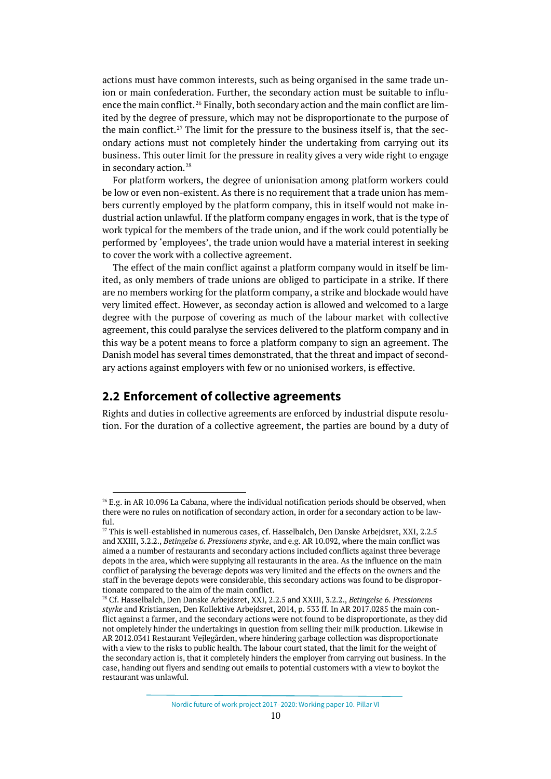actions must have common interests, such as being organised in the same trade union or main confederation. Further, the secondary action must be suitable to influ-ence the main conflict.<sup>[26](#page-9-1)</sup> Finally, both secondary action and the main conflict are limited by the degree of pressure, which may not be disproportionate to the purpose of the main conflict.<sup>[27](#page-9-2)</sup> The limit for the pressure to the business itself is, that the secondary actions must not completely hinder the undertaking from carrying out its business. This outer limit for the pressure in reality gives a very wide right to engage in secondary action.[28](#page-9-3)

For platform workers, the degree of unionisation among platform workers could be low or even non-existent. As there is no requirement that a trade union has members currently employed by the platform company, this in itself would not make industrial action unlawful. If the platform company engages in work, that is the type of work typical for the members of the trade union, and if the work could potentially be performed by 'employees', the trade union would have a material interest in seeking to cover the work with a collective agreement.

The effect of the main conflict against a platform company would in itself be limited, as only members of trade unions are obliged to participate in a strike. If there are no members working for the platform company, a strike and blockade would have very limited effect. However, as seconday action is allowed and welcomed to a large degree with the purpose of covering as much of the labour market with collective agreement, this could paralyse the services delivered to the platform company and in this way be a potent means to force a platform company to sign an agreement. The Danish model has several times demonstrated, that the threat and impact of secondary actions against employers with few or no unionised workers, is effective.

## <span id="page-9-0"></span>**2.2 Enforcement of collective agreements**

Rights and duties in collective agreements are enforced by industrial dispute resolution. For the duration of a collective agreement, the parties are bound by a duty of

<span id="page-9-1"></span><sup>&</sup>lt;sup>26</sup> E.g. in AR 10.096 La Cabana, where the individual notification periods should be observed, when there were no rules on notification of secondary action, in order for a secondary action to be lawful.

<span id="page-9-2"></span><sup>&</sup>lt;sup>27</sup> This is well-established in numerous cases, cf. Hasselbalch, Den Danske Arbejdsret, XXI, 2.2.5 and XXIII, 3.2.2., *Betingelse 6. Pressionens styrke*, and e.g. AR 10.092, where the main conflict was aimed a a number of restaurants and secondary actions included conflicts against three beverage depots in the area, which were supplying all restaurants in the area. As the influence on the main conflict of paralysing the beverage depots was very limited and the effects on the owners and the staff in the beverage depots were considerable, this secondary actions was found to be disproportionate compared to the aim of the main conflict.

<span id="page-9-3"></span><sup>28</sup> Cf. Hasselbalch, Den Danske Arbejdsret, XXI, 2.2.5 and XXIII, 3.2.2., *Betingelse 6. Pressionens styrke* and Kristiansen, Den Kollektive Arbejdsret, 2014, p. 533 ff. In AR 2017.0285 the main conflict against a farmer, and the secondary actions were not found to be disproportionate, as they did not ompletely hinder the undertakings in question from selling their milk production. Likewise in AR 2012.0341 Restaurant Vejlegården, where hindering garbage collection was disproportionate with a view to the risks to public health. The labour court stated, that the limit for the weight of the secondary action is, that it completely hinders the employer from carrying out business. In the case, handing out flyers and sending out emails to potential customers with a view to boykot the restaurant was unlawful.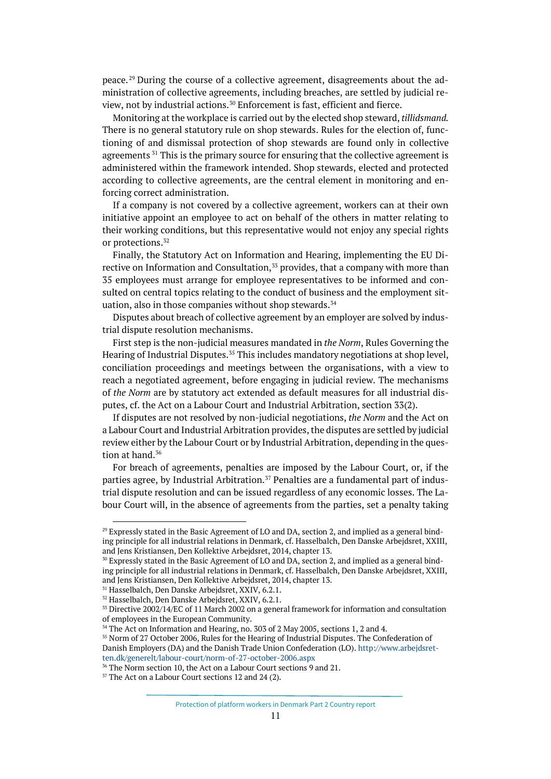peace. [29](#page-10-0) During the course of a collective agreement, disagreements about the administration of collective agreements, including breaches, are settled by judicial re-view, not by industrial actions.<sup>[30](#page-10-1)</sup> Enforcement is fast, efficient and fierce.

Monitoring at the workplace is carried out by the elected shop steward, *tillidsmand.* There is no general statutory rule on shop stewards. Rules for the election of, functioning of and dismissal protection of shop stewards are found only in collective agreements<sup>[31](#page-10-2)</sup> This is the primary source for ensuring that the collective agreement is administered within the framework intended. Shop stewards, elected and protected according to collective agreements, are the central element in monitoring and enforcing correct administration.

If a company is not covered by a collective agreement, workers can at their own initiative appoint an employee to act on behalf of the others in matter relating to their working conditions, but this representative would not enjoy any special rights or protections.<sup>[32](#page-10-3)</sup>

Finally, the Statutory Act on Information and Hearing, implementing the EU Di-rective on Information and Consultation,<sup>[33](#page-10-4)</sup> provides, that a company with more than 35 employees must arrange for employee representatives to be informed and consulted on central topics relating to the conduct of business and the employment sit-uation, also in those companies without shop stewards.<sup>[34](#page-10-5)</sup>

Disputes about breach of collective agreement by an employer are solved by industrial dispute resolution mechanisms.

First step is the non-judicial measures mandated in *the Norm*, Rules Governing the Hearing of Industrial Disputes. [35](#page-10-6) This includes mandatory negotiations at shop level, conciliation proceedings and meetings between the organisations, with a view to reach a negotiated agreement, before engaging in judicial review. The mechanisms of *the Norm* are by statutory act extended as default measures for all industrial disputes, cf. the Act on a Labour Court and Industrial Arbitration, section 33(2).

If disputes are not resolved by non-judicial negotiations, *the Norm* and the Act on a Labour Court and Industrial Arbitration provides, the disputes are settled by judicial review either by the Labour Court or by Industrial Arbitration, depending in the ques-tion at hand.<sup>[36](#page-10-7)</sup>

For breach of agreements, penalties are imposed by the Labour Court, or, if the parties agree, by Industrial Arbitration.<sup>[37](#page-10-8)</sup> Penalties are a fundamental part of industrial dispute resolution and can be issued regardless of any economic losses. The Labour Court will, in the absence of agreements from the parties, set a penalty taking

<span id="page-10-0"></span><sup>&</sup>lt;sup>29</sup> Expressly stated in the Basic Agreement of LO and DA, section 2, and implied as a general binding principle for all industrial relations in Denmark, cf. Hasselbalch, Den Danske Arbejdsret, XXIII, and Jens Kristiansen, Den Kollektive Arbejdsret, 2014, chapter 13.

<span id="page-10-1"></span><sup>&</sup>lt;sup>30</sup> Expressly stated in the Basic Agreement of LO and DA, section 2, and implied as a general binding principle for all industrial relations in Denmark, cf. Hasselbalch, Den Danske Arbejdsret, XXIII, and Jens Kristiansen, Den Kollektive Arbejdsret, 2014, chapter 13.

<span id="page-10-2"></span><sup>31</sup> Hasselbalch, Den Danske Arbejdsret, XXIV, 6.2.1.

<span id="page-10-3"></span><sup>32</sup> Hasselbalch, Den Danske Arbejdsret, XXIV, 6.2.1.

<span id="page-10-4"></span><sup>&</sup>lt;sup>33</sup> Directive 2002/14/EC of 11 March 2002 on a general framework for information and consultation of employees in the European Community.

<sup>&</sup>lt;sup>34</sup> The Act on Information and Hearing, no. 303 of 2 May 2005, sections 1, 2 and 4.

<span id="page-10-6"></span><span id="page-10-5"></span><sup>35</sup> Norm of 27 October 2006, Rules for the Hearing of Industrial Disputes. The Confederation of Danish Employers (DA) and the Danish Trade Union Confederation (LO)[. http://www.arbejdsret](http://www.arbejdsretten.dk/generelt/labour-court/norm-of-27-october-2006.aspx)[ten.dk/generelt/labour-court/norm-of-27-october-2006.aspx](http://www.arbejdsretten.dk/generelt/labour-court/norm-of-27-october-2006.aspx)

<span id="page-10-7"></span><sup>36</sup> The Norm section 10, the Act on a Labour Court sections 9 and 21.

<span id="page-10-8"></span><sup>&</sup>lt;sup>37</sup> The Act on a Labour Court sections 12 and 24 (2).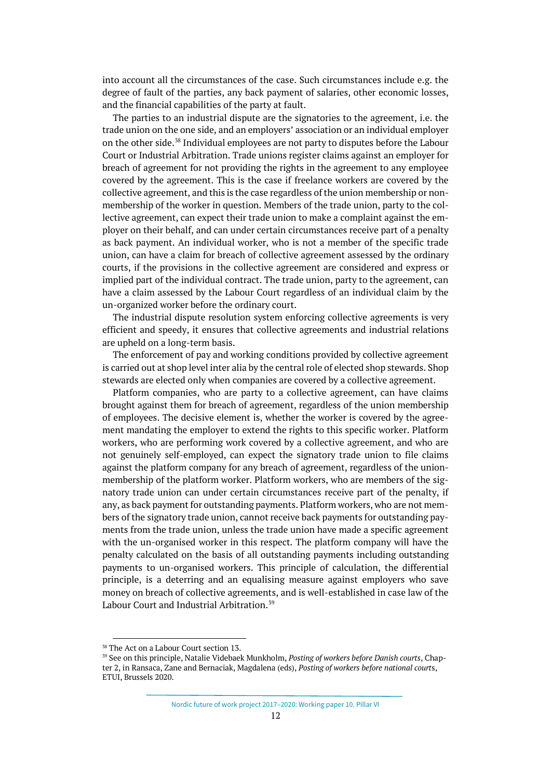into account all the circumstances of the case. Such circumstances include e.g. the degree of fault of the parties, any back payment of salaries, other economic losses, and the financial capabilities of the party at fault.

The parties to an industrial dispute are the signatories to the agreement, i.e. the trade union on the one side, and an employers' association or an individual employer on the other side.[38](#page-11-0) Individual employees are not party to disputes before the Labour Court or Industrial Arbitration. Trade unions register claims against an employer for breach of agreement for not providing the rights in the agreement to any employee covered by the agreement. This is the case if freelance workers are covered by the collective agreement, and this is the case regardless of the union membership or nonmembership of the worker in question. Members of the trade union, party to the collective agreement, can expect their trade union to make a complaint against the employer on their behalf, and can under certain circumstances receive part of a penalty as back payment. An individual worker, who is not a member of the specific trade union, can have a claim for breach of collective agreement assessed by the ordinary courts, if the provisions in the collective agreement are considered and express or implied part of the individual contract. The trade union, party to the agreement, can have a claim assessed by the Labour Court regardless of an individual claim by the un-organized worker before the ordinary court.

The industrial dispute resolution system enforcing collective agreements is very efficient and speedy, it ensures that collective agreements and industrial relations are upheld on a long-term basis.

The enforcement of pay and working conditions provided by collective agreement is carried out at shop level inter alia by the central role of elected shop stewards. Shop stewards are elected only when companies are covered by a collective agreement.

Platform companies, who are party to a collective agreement, can have claims brought against them for breach of agreement, regardless of the union membership of employees. The decisive element is, whether the worker is covered by the agreement mandating the employer to extend the rights to this specific worker. Platform workers, who are performing work covered by a collective agreement, and who are not genuinely self-employed, can expect the signatory trade union to file claims against the platform company for any breach of agreement, regardless of the unionmembership of the platform worker. Platform workers, who are members of the signatory trade union can under certain circumstances receive part of the penalty, if any, as back payment for outstanding payments. Platform workers, who are not members of the signatory trade union, cannot receive back payments for outstanding payments from the trade union, unless the trade union have made a specific agreement with the un-organised worker in this respect. The platform company will have the penalty calculated on the basis of all outstanding payments including outstanding payments to un-organised workers. This principle of calculation, the differential principle, is a deterring and an equalising measure against employers who save money on breach of collective agreements, and is well-established in case law of the Labour Court and Industrial Arbitration.<sup>[39](#page-11-1)</sup>

Nordic future of work project 2017–2020: Working paper 10. Pillar VI

<span id="page-11-0"></span><sup>38</sup> The Act on a Labour Court section 13.

<span id="page-11-1"></span><sup>39</sup> See on this principle, Natalie Videbaek Munkholm, *Posting of workers before Danish courts*, Chapter 2, in Ransaca, Zane and Bernaciak, Magdalena (eds), *Posting of workers before national court*s, ETUI, Brussels 2020.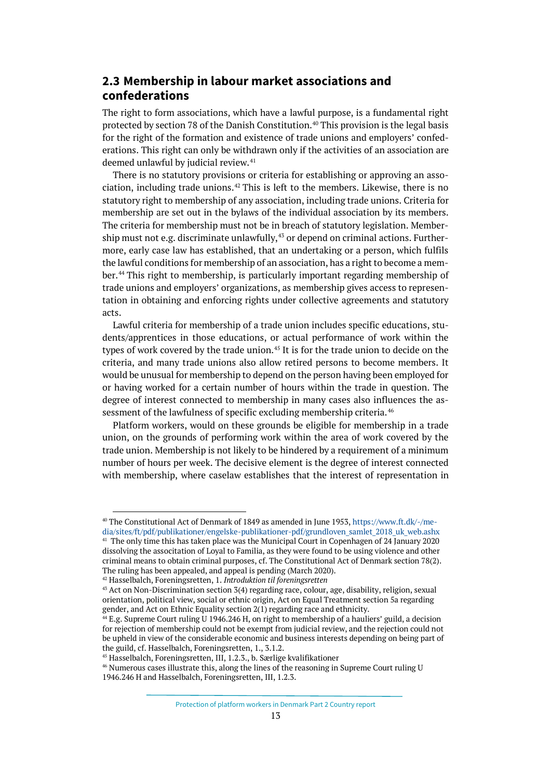# <span id="page-12-0"></span>**2.3 Membership in labour market associations and confederations**

The right to form associations, which have a lawful purpose, is a fundamental right protected by section 78 of the Danish Constitution.<sup>[40](#page-12-1)</sup> This provision is the legal basis for the right of the formation and existence of trade unions and employers' confederations. This right can only be withdrawn only if the activities of an association are deemed unlawful by judicial review.<sup>[41](#page-12-2)</sup>

There is no statutory provisions or criteria for establishing or approving an association, including trade unions.[42](#page-12-3) This is left to the members. Likewise, there is no statutory right to membership of any association, including trade unions. Criteria for membership are set out in the bylaws of the individual association by its members. The criteria for membership must not be in breach of statutory legislation. Membership must not e.g. discriminate unlawfully, $43$  or depend on criminal actions. Furthermore, early case law has established, that an undertaking or a person, which fulfils the lawful conditions for membership of an association, has a right to become a member. [44](#page-12-5) This right to membership, is particularly important regarding membership of trade unions and employers' organizations, as membership gives access to representation in obtaining and enforcing rights under collective agreements and statutory acts.

Lawful criteria for membership of a trade union includes specific educations, students/apprentices in those educations, or actual performance of work within the types of work covered by the trade union.<sup>[45](#page-12-6)</sup> It is for the trade union to decide on the criteria, and many trade unions also allow retired persons to become members. It would be unusual for membership to depend on the person having been employed for or having worked for a certain number of hours within the trade in question. The degree of interest connected to membership in many cases also influences the as-sessment of the lawfulness of specific excluding membership criteria.<sup>[46](#page-12-7)</sup>

Platform workers, would on these grounds be eligible for membership in a trade union, on the grounds of performing work within the area of work covered by the trade union. Membership is not likely to be hindered by a requirement of a minimum number of hours per week. The decisive element is the degree of interest connected with membership, where caselaw establishes that the interest of representation in

<sup>40</sup> The Constitutional Act of Denmark of 1849 as amended in June 1953[, https://www.ft.dk/-/me-](https://www.ft.dk/-/media/sites/ft/pdf/publikationer/engelske-publikationer-pdf/grundloven_samlet_2018_uk_web.ashx)

<span id="page-12-2"></span><span id="page-12-1"></span>[dia/sites/ft/pdf/publikationer/engelske-publikationer-pdf/grundloven\\_samlet\\_2018\\_uk\\_web.ashx](https://www.ft.dk/-/media/sites/ft/pdf/publikationer/engelske-publikationer-pdf/grundloven_samlet_2018_uk_web.ashx) <sup>41</sup> The only time this has taken place was the Municipal Court in Copenhagen of 24 January 2020 dissolving the associtation of Loyal to Familia, as they were found to be using violence and other criminal means to obtain criminal purposes, cf. The Constitutional Act of Denmark section 78(2). The ruling has been appealed, and appeal is pending (March 2020).

<span id="page-12-3"></span><sup>42</sup> Hasselbalch, Foreningsretten, 1. *Introduktion til foreningsretten*

<span id="page-12-4"></span><sup>43</sup> Act on Non-Discrimination section 3(4) regarding race, colour, age, disability, religion, sexual orientation, political view, social or ethnic origin, Act on Equal Treatment section 5a regarding gender, and Act on Ethnic Equality section 2(1) regarding race and ethnicity.

<span id="page-12-5"></span> $^{44}$  E.g. Supreme Court ruling U 1946.246 H, on right to membership of a hauliers' guild, a decision for rejection of membership could not be exempt from judicial review, and the rejection could not be upheld in view of the considerable economic and business interests depending on being part of the guild, cf. Hasselbalch, Foreningsretten, 1., 3.1.2.

<span id="page-12-6"></span><sup>45</sup> Hasselbalch, Foreningsretten, III, 1.2.3., b. Særlige kvalifikationer

<span id="page-12-7"></span><sup>&</sup>lt;sup>46</sup> Numerous cases illustrate this, along the lines of the reasoning in Supreme Court ruling U 1946.246 H and Hasselbalch, Foreningsretten, III, 1.2.3.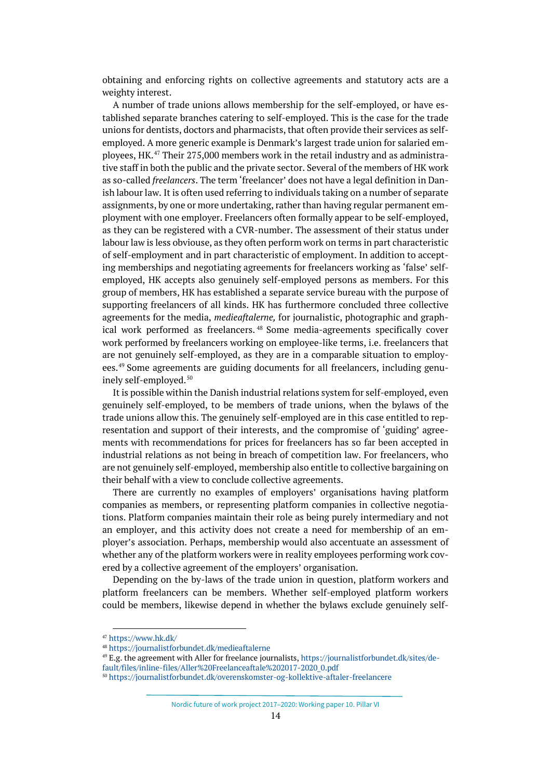obtaining and enforcing rights on collective agreements and statutory acts are a weighty interest.

A number of trade unions allows membership for the self-employed, or have established separate branches catering to self-employed. This is the case for the trade unions for dentists, doctors and pharmacists, that often provide their services as selfemployed. A more generic example is Denmark's largest trade union for salaried employees, HK.[47](#page-13-0) Their 275,000 members work in the retail industry and as administrative staff in both the public and the private sector. Several of the members of HK work as so-called *freelancers*. The term 'freelancer' does not have a legal definition in Danish labour law. It is often used referring to individuals taking on a number of separate assignments, by one or more undertaking, rather than having regular permanent employment with one employer. Freelancers often formally appear to be self-employed, as they can be registered with a CVR-number. The assessment of their status under labour law is less obviouse, as they often perform work on terms in part characteristic of self-employment and in part characteristic of employment. In addition to accepting memberships and negotiating agreements for freelancers working as 'false' selfemployed, HK accepts also genuinely self-employed persons as members. For this group of members, HK has established a separate service bureau with the purpose of supporting freelancers of all kinds. HK has furthermore concluded three collective agreements for the media, *medieaftalerne,* for journalistic, photographic and graphical work performed as freelancers. [48](#page-13-1) Some media-agreements specifically cover work performed by freelancers working on employee-like terms, i.e. freelancers that are not genuinely self-employed, as they are in a comparable situation to employees.[49](#page-13-2) Some agreements are guiding documents for all freelancers, including genu-inely self-employed.<sup>[50](#page-13-3)</sup>

It is possible within the Danish industrial relations system for self-employed, even genuinely self-employed, to be members of trade unions, when the bylaws of the trade unions allow this. The genuinely self-employed are in this case entitled to representation and support of their interests, and the compromise of 'guiding' agreements with recommendations for prices for freelancers has so far been accepted in industrial relations as not being in breach of competition law. For freelancers, who are not genuinely self-employed, membership also entitle to collective bargaining on their behalf with a view to conclude collective agreements.

There are currently no examples of employers' organisations having platform companies as members, or representing platform companies in collective negotiations. Platform companies maintain their role as being purely intermediary and not an employer, and this activity does not create a need for membership of an employer's association. Perhaps, membership would also accentuate an assessment of whether any of the platform workers were in reality employees performing work covered by a collective agreement of the employers' organisation.

Depending on the by-laws of the trade union in question, platform workers and platform freelancers can be members. Whether self-employed platform workers could be members, likewise depend in whether the bylaws exclude genuinely self-

Nordic future of work project 2017–2020: Working paper 10. Pillar VI

<span id="page-13-0"></span><sup>47</sup> <https://www.hk.dk/>

<span id="page-13-1"></span><sup>48</sup> <https://journalistforbundet.dk/medieaftalerne>

<span id="page-13-2"></span><sup>49</sup> E.g. the agreement with Aller for freelance journalists[, https://journalistforbundet.dk/sites/de](https://journalistforbundet.dk/sites/default/files/inline-files/Aller%20Freelanceaftale%202017-2020_0.pdf)[fault/files/inline-files/Aller%20Freelanceaftale%202017-2020\\_0.pdf](https://journalistforbundet.dk/sites/default/files/inline-files/Aller%20Freelanceaftale%202017-2020_0.pdf)

<span id="page-13-3"></span><sup>50</sup> <https://journalistforbundet.dk/overenskomster-og-kollektive-aftaler-freelancere>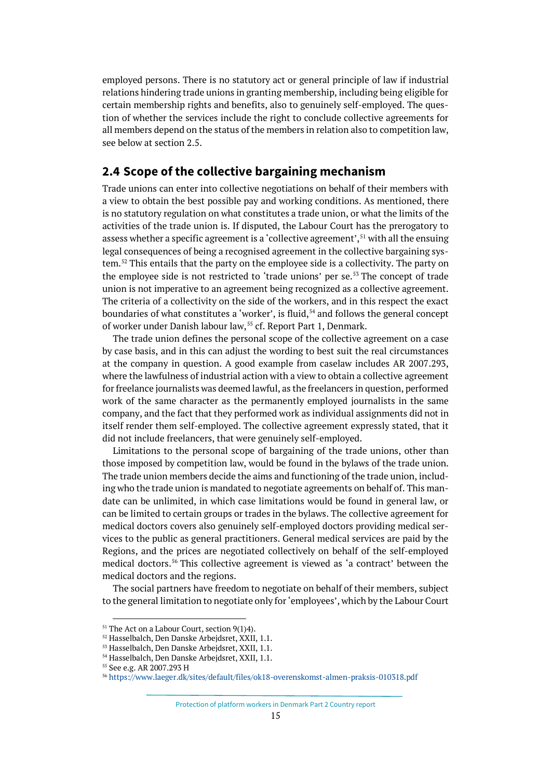employed persons. There is no statutory act or general principle of law if industrial relations hindering trade unions in granting membership, including being eligible for certain membership rights and benefits, also to genuinely self-employed. The question of whether the services include the right to conclude collective agreements for all members depend on the status of the members in relation also to competition law, see below at section 2.5.

# <span id="page-14-0"></span>**2.4 Scope of the collective bargaining mechanism**

Trade unions can enter into collective negotiations on behalf of their members with a view to obtain the best possible pay and working conditions. As mentioned, there is no statutory regulation on what constitutes a trade union, or what the limits of the activities of the trade union is. If disputed, the Labour Court has the prerogatory to assess whether a specific agreement is a 'collective agreement',<sup>[51](#page-14-1)</sup> with all the ensuing legal consequences of being a recognised agreement in the collective bargaining system.[52](#page-14-2) This entails that the party on the employee side is a collectivity. The party on the employee side is not restricted to 'trade unions' per se.<sup>[53](#page-14-3)</sup> The concept of trade union is not imperative to an agreement being recognized as a collective agreement. The criteria of a collectivity on the side of the workers, and in this respect the exact boundaries of what constitutes a 'worker', is fluid, $54$  and follows the general concept of worker under Danish labour law,<sup>[55](#page-14-5)</sup> cf. Report Part 1, Denmark.

The trade union defines the personal scope of the collective agreement on a case by case basis, and in this can adjust the wording to best suit the real circumstances at the company in question. A good example from caselaw includes AR 2007.293, where the lawfulness of industrial action with a view to obtain a collective agreement for freelance journalists was deemed lawful, as the freelancers in question, performed work of the same character as the permanently employed journalists in the same company, and the fact that they performed work as individual assignments did not in itself render them self-employed. The collective agreement expressly stated, that it did not include freelancers, that were genuinely self-employed.

Limitations to the personal scope of bargaining of the trade unions, other than those imposed by competition law, would be found in the bylaws of the trade union. The trade union members decide the aims and functioning of the trade union, including who the trade union is mandated to negotiate agreements on behalf of. This mandate can be unlimited, in which case limitations would be found in general law, or can be limited to certain groups or trades in the bylaws. The collective agreement for medical doctors covers also genuinely self-employed doctors providing medical services to the public as general practitioners. General medical services are paid by the Regions, and the prices are negotiated collectively on behalf of the self-employed medical doctors.[56](#page-14-6) This collective agreement is viewed as 'a contract' between the medical doctors and the regions.

The social partners have freedom to negotiate on behalf of their members, subject to the general limitation to negotiate only for 'employees', which by the Labour Court

Protection of platform workers in Denmark Part 2 Country report

<span id="page-14-1"></span><sup>&</sup>lt;sup>51</sup> The Act on a Labour Court, section 9(1)4).

<span id="page-14-2"></span><sup>52</sup> Hasselbalch, Den Danske Arbejdsret, XXII, 1.1.

<span id="page-14-3"></span><sup>53</sup> Hasselbalch, Den Danske Arbejdsret, XXII, 1.1.

<sup>54</sup> Hasselbalch, Den Danske Arbejdsret, XXII, 1.1.

<span id="page-14-6"></span><span id="page-14-5"></span><span id="page-14-4"></span><sup>55</sup> See e.g. AR 2007.293 H

<sup>56</sup> <https://www.laeger.dk/sites/default/files/ok18-overenskomst-almen-praksis-010318.pdf>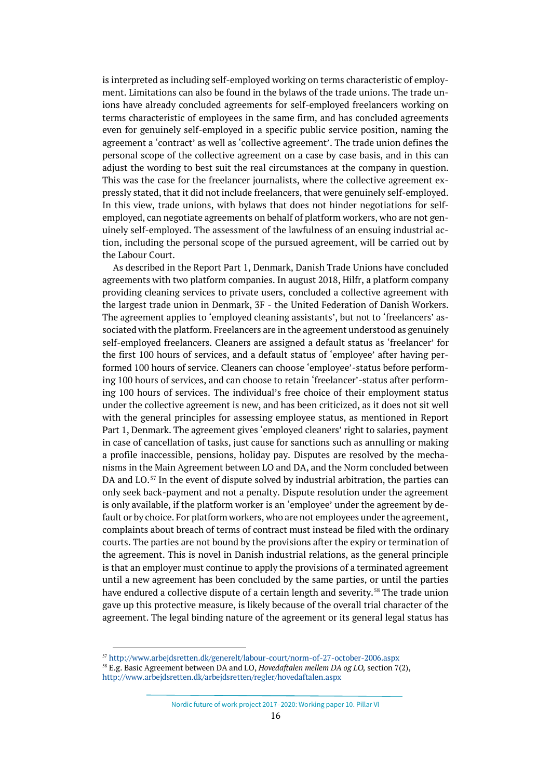is interpreted as including self-employed working on terms characteristic of employment. Limitations can also be found in the bylaws of the trade unions. The trade unions have already concluded agreements for self-employed freelancers working on terms characteristic of employees in the same firm, and has concluded agreements even for genuinely self-employed in a specific public service position, naming the agreement a 'contract' as well as 'collective agreement'. The trade union defines the personal scope of the collective agreement on a case by case basis, and in this can adjust the wording to best suit the real circumstances at the company in question. This was the case for the freelancer journalists, where the collective agreement expressly stated, that it did not include freelancers, that were genuinely self-employed. In this view, trade unions, with bylaws that does not hinder negotiations for selfemployed, can negotiate agreements on behalf of platform workers, who are not genuinely self-employed. The assessment of the lawfulness of an ensuing industrial action, including the personal scope of the pursued agreement, will be carried out by the Labour Court.

As described in the Report Part 1, Denmark, Danish Trade Unions have concluded agreements with two platform companies. In august 2018, Hilfr, a platform company providing cleaning services to private users, concluded a collective agreement with the largest trade union in Denmark, 3F - the United Federation of Danish Workers. The agreement applies to 'employed cleaning assistants', but not to 'freelancers' associated with the platform. Freelancers are in the agreement understood as genuinely self-employed freelancers. Cleaners are assigned a default status as 'freelancer' for the first 100 hours of services, and a default status of 'employee' after having performed 100 hours of service. Cleaners can choose 'employee'-status before performing 100 hours of services, and can choose to retain 'freelancer'-status after performing 100 hours of services. The individual's free choice of their employment status under the collective agreement is new, and has been criticized, as it does not sit well with the general principles for assessing employee status, as mentioned in Report Part 1, Denmark. The agreement gives 'employed cleaners' right to salaries, payment in case of cancellation of tasks, just cause for sanctions such as annulling or making a profile inaccessible, pensions, holiday pay. Disputes are resolved by the mechanisms in the Main Agreement between LO and DA, and the Norm concluded between DA and LO.<sup>[57](#page-15-0)</sup> In the event of dispute solved by industrial arbitration, the parties can only seek back-payment and not a penalty. Dispute resolution under the agreement is only available, if the platform worker is an 'employee' under the agreement by default or by choice. For platform workers, who are not employees under the agreement, complaints about breach of terms of contract must instead be filed with the ordinary courts. The parties are not bound by the provisions after the expiry or termination of the agreement. This is novel in Danish industrial relations, as the general principle is that an employer must continue to apply the provisions of a terminated agreement until a new agreement has been concluded by the same parties, or until the parties have endured a collective dispute of a certain length and severity. [58](#page-15-1) The trade union gave up this protective measure, is likely because of the overall trial character of the agreement. The legal binding nature of the agreement or its general legal status has

<sup>57</sup> <http://www.arbejdsretten.dk/generelt/labour-court/norm-of-27-october-2006.aspx>

<span id="page-15-1"></span><span id="page-15-0"></span><sup>58</sup> E.g. Basic Agreement between DA and LO, *Hovedaftalen mellem DA og LO,* section 7(2),

<http://www.arbejdsretten.dk/arbejdsretten/regler/hovedaftalen.aspx>

Nordic future of work project 2017–2020: Working paper 10. Pillar VI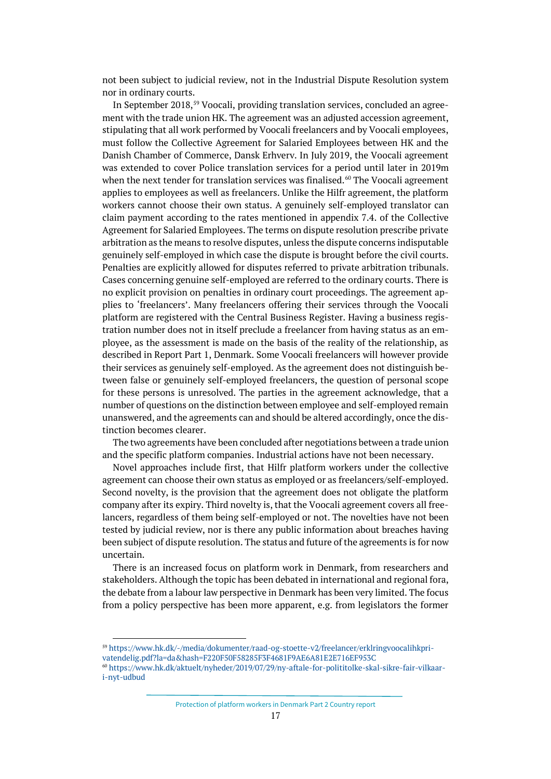not been subject to judicial review, not in the Industrial Dispute Resolution system nor in ordinary courts.

In September 2018,<sup>[59](#page-16-0)</sup> Voocali, providing translation services, concluded an agreement with the trade union HK. The agreement was an adjusted accession agreement, stipulating that all work performed by Voocali freelancers and by Voocali employees, must follow the Collective Agreement for Salaried Employees between HK and the Danish Chamber of Commerce, Dansk Erhverv. In July 2019, the Voocali agreement was extended to cover Police translation services for a period until later in 2019m when the next tender for translation services was finalised. $60$  The Voocali agreement applies to employees as well as freelancers. Unlike the Hilfr agreement, the platform workers cannot choose their own status. A genuinely self-employed translator can claim payment according to the rates mentioned in appendix 7.4. of the Collective Agreement for Salaried Employees. The terms on dispute resolution prescribe private arbitration as the means to resolve disputes, unless the dispute concerns indisputable genuinely self-employed in which case the dispute is brought before the civil courts. Penalties are explicitly allowed for disputes referred to private arbitration tribunals. Cases concerning genuine self-employed are referred to the ordinary courts. There is no explicit provision on penalties in ordinary court proceedings. The agreement applies to 'freelancers'. Many freelancers offering their services through the Voocali platform are registered with the Central Business Register. Having a business registration number does not in itself preclude a freelancer from having status as an employee, as the assessment is made on the basis of the reality of the relationship, as described in Report Part 1, Denmark. Some Voocali freelancers will however provide their services as genuinely self-employed. As the agreement does not distinguish between false or genuinely self-employed freelancers, the question of personal scope for these persons is unresolved. The parties in the agreement acknowledge, that a number of questions on the distinction between employee and self-employed remain unanswered, and the agreements can and should be altered accordingly, once the distinction becomes clearer.

The two agreements have been concluded after negotiations between a trade union and the specific platform companies. Industrial actions have not been necessary.

Novel approaches include first, that Hilfr platform workers under the collective agreement can choose their own status as employed or as freelancers/self-employed. Second novelty, is the provision that the agreement does not obligate the platform company after its expiry. Third novelty is, that the Voocali agreement covers all freelancers, regardless of them being self-employed or not. The novelties have not been tested by judicial review, nor is there any public information about breaches having been subject of dispute resolution. The status and future of the agreements is for now uncertain.

There is an increased focus on platform work in Denmark, from researchers and stakeholders. Although the topic has been debated in international and regional fora, the debate from a labour law perspective in Denmark has been very limited. The focus from a policy perspective has been more apparent, e.g. from legislators the former

<span id="page-16-0"></span><sup>59</sup> [https://www.hk.dk/-/media/dokumenter/raad-og-stoette-v2/freelancer/erklringvoocalihkpri](https://www.hk.dk/-/media/dokumenter/raad-og-stoette-v2/freelancer/erklringvoocalihkprivatendelig.pdf?la=da&hash=F220F50F58285F3F4681F9AE6A81E2E716EF953C)[vatendelig.pdf?la=da&hash=F220F50F58285F3F4681F9AE6A81E2E716EF953C](https://www.hk.dk/-/media/dokumenter/raad-og-stoette-v2/freelancer/erklringvoocalihkprivatendelig.pdf?la=da&hash=F220F50F58285F3F4681F9AE6A81E2E716EF953C)

<span id="page-16-1"></span><sup>60</sup> [https://www.hk.dk/aktuelt/nyheder/2019/07/29/ny-aftale-for-polititolke-skal-sikre-fair-vilkaar](https://www.hk.dk/aktuelt/nyheder/2019/07/29/ny-aftale-for-polititolke-skal-sikre-fair-vilkaar-i-nyt-udbud)[i-nyt-udbud](https://www.hk.dk/aktuelt/nyheder/2019/07/29/ny-aftale-for-polititolke-skal-sikre-fair-vilkaar-i-nyt-udbud)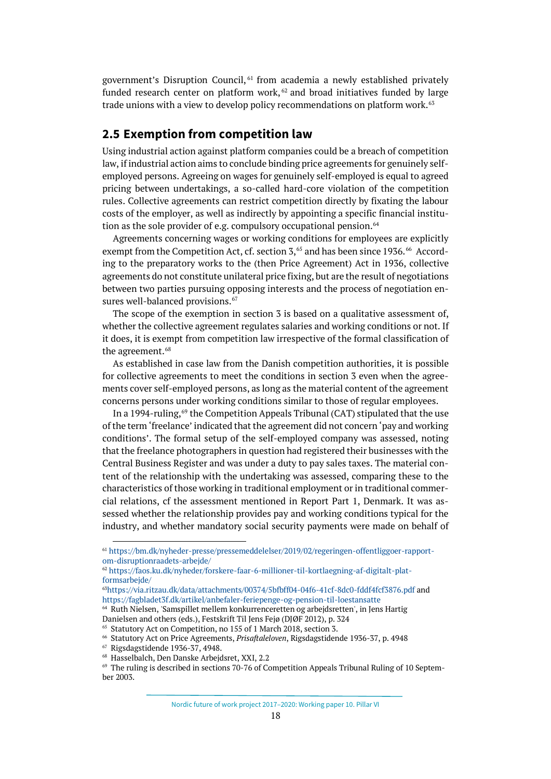government's Disruption Council, [61](#page-17-1) from academia a newly established privately funded research center on platform work,  $62$  and broad initiatives funded by large trade unions with a view to develop policy recommendations on platform work.<sup>[63](#page-17-3)</sup>

# <span id="page-17-0"></span>**2.5 Exemption from competition law**

Using industrial action against platform companies could be a breach of competition law, if industrial action aims to conclude binding price agreements for genuinely selfemployed persons. Agreeing on wages for genuinely self-employed is equal to agreed pricing between undertakings, a so-called hard-core violation of the competition rules. Collective agreements can restrict competition directly by fixating the labour costs of the employer, as well as indirectly by appointing a specific financial institution as the sole provider of e.g. compulsory occupational pension. [64](#page-17-4)

Agreements concerning wages or working conditions for employees are explicitly exempt from the Competition Act, cf. section 3,<sup>65</sup> and has been since 1936.<sup>[66](#page-17-6)</sup> According to the preparatory works to the (then Price Agreement) Act in 1936, collective agreements do not constitute unilateral price fixing, but are the result of negotiations between two parties pursuing opposing interests and the process of negotiation en-sures well-balanced provisions.<sup>[67](#page-17-7)</sup>

The scope of the exemption in section 3 is based on a qualitative assessment of, whether the collective agreement regulates salaries and working conditions or not. If it does, it is exempt from competition law irrespective of the formal classification of the agreement.<sup>[68](#page-17-8)</sup>

As established in case law from the Danish competition authorities, it is possible for collective agreements to meet the conditions in section 3 even when the agreements cover self-employed persons, as long as the material content of the agreement concerns persons under working conditions similar to those of regular employees.

In a 1994-ruling,<sup>[69](#page-17-9)</sup> the Competition Appeals Tribunal (CAT) stipulated that the use of the term 'freelance' indicated that the agreement did not concern 'pay and working conditions'. The formal setup of the self-employed company was assessed, noting that the freelance photographers in question had registered their businesses with the Central Business Register and was under a duty to pay sales taxes. The material content of the relationship with the undertaking was assessed, comparing these to the characteristics of those working in traditional employment or in traditional commercial relations, cf the assessment mentioned in Report Part 1, Denmark. It was assessed whether the relationship provides pay and working conditions typical for the industry, and whether mandatory social security payments were made on behalf of

<span id="page-17-1"></span><sup>61</sup> [https://bm.dk/nyheder-presse/pressemeddelelser/2019/02/regeringen-offentliggoer-rapport](https://bm.dk/nyheder-presse/pressemeddelelser/2019/02/regeringen-offentliggoer-rapport-om-disruptionraadets-arbejde/)[om-disruptionraadets-arbejde/](https://bm.dk/nyheder-presse/pressemeddelelser/2019/02/regeringen-offentliggoer-rapport-om-disruptionraadets-arbejde/)

<span id="page-17-2"></span><sup>62</sup> [https://faos.ku.dk/nyheder/forskere-faar-6-millioner-til-kortlaegning-af-digitalt-plat](https://faos.ku.dk/nyheder/forskere-faar-6-millioner-til-kortlaegning-af-digitalt-platformsarbejde/)[formsarbejde/](https://faos.ku.dk/nyheder/forskere-faar-6-millioner-til-kortlaegning-af-digitalt-platformsarbejde/)

<span id="page-17-3"></span><sup>6</sup>[3https://via.ritzau.dk/data/attachments/00374/5bfbff04-04f6-41cf-8dc0-fddf4fcf3876.pdf](https://via.ritzau.dk/data/attachments/00374/5bfbff04-04f6-41cf-8dc0-fddf4fcf3876.pdf) and <https://fagbladet3f.dk/artikel/anbefaler-feriepenge-og-pension-til-loestansatte>

<span id="page-17-4"></span><sup>64</sup> Ruth Nielsen, 'Samspillet mellem konkurrenceretten og arbejdsretten', in Jens Hartig Danielsen and others (eds.), Festskrift Til Jens Fejø (DJØF 2012), p. 324

<span id="page-17-6"></span>

<span id="page-17-5"></span><sup>&</sup>lt;sup>65</sup> Statutory Act on Competition, no 155 of 1 March 2018, section 3.<br><sup>66</sup> Statutory Act on Price Agreements, *Prisaftaleloven*, Rigsdagstidende 1936-37, p. 4948

<span id="page-17-7"></span><sup>67</sup> Rigsdagstidende 1936-37, 4948.

<span id="page-17-8"></span><sup>68</sup> Hasselbalch, Den Danske Arbejdsret, XXI, 2.2

<span id="page-17-9"></span><sup>&</sup>lt;sup>69</sup> The ruling is described in sections 70-76 of Competition Appeals Tribunal Ruling of 10 September 2003.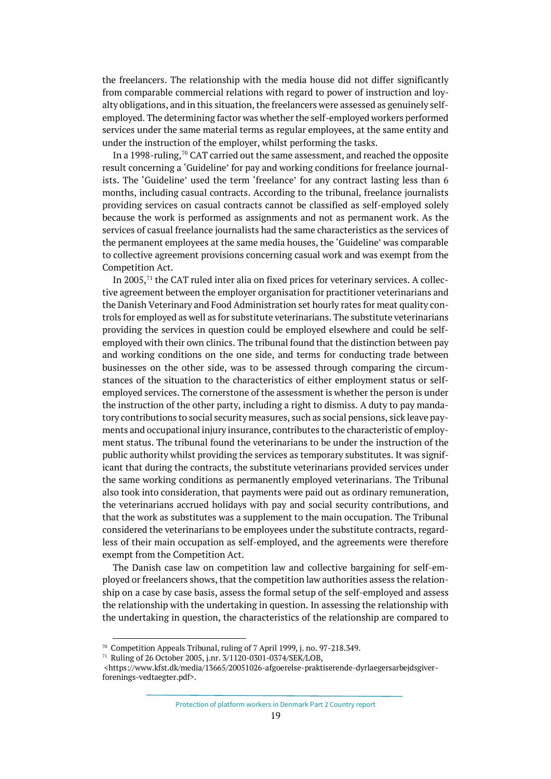the freelancers. The relationship with the media house did not differ significantly from comparable commercial relations with regard to power of instruction and loyalty obligations, and in this situation, the freelancers were assessed as genuinely selfemployed. The determining factor was whether the self-employed workers performed services under the same material terms as regular employees, at the same entity and under the instruction of the employer, whilst performing the tasks.

In a 1998-ruling, $70$  CAT carried out the same assessment, and reached the opposite result concerning a 'Guideline' for pay and working conditions for freelance journalists. The 'Guideline' used the term 'freelance' for any contract lasting less than 6 months, including casual contracts. According to the tribunal, freelance journalists providing services on casual contracts cannot be classified as self-employed solely because the work is performed as assignments and not as permanent work. As the services of casual freelance journalists had the same characteristics as the services of the permanent employees at the same media houses, the 'Guideline' was comparable to collective agreement provisions concerning casual work and was exempt from the Competition Act.

In 2005, $71$  the CAT ruled inter alia on fixed prices for veterinary services. A collective agreement between the employer organisation for practitioner veterinarians and the Danish Veterinary and Food Administration set hourly rates for meat quality controls for employed as well as for substitute veterinarians. The substitute veterinarians providing the services in question could be employed elsewhere and could be selfemployed with their own clinics. The tribunal found that the distinction between pay and working conditions on the one side, and terms for conducting trade between businesses on the other side, was to be assessed through comparing the circumstances of the situation to the characteristics of either employment status or selfemployed services. The cornerstone of the assessment is whether the person is under the instruction of the other party, including a right to dismiss. A duty to pay mandatory contributions to social security measures, such as social pensions, sick leave payments and occupational injury insurance, contributes to the characteristic of employment status. The tribunal found the veterinarians to be under the instruction of the public authority whilst providing the services as temporary substitutes. It was significant that during the contracts, the substitute veterinarians provided services under the same working conditions as permanently employed veterinarians. The Tribunal also took into consideration, that payments were paid out as ordinary remuneration, the veterinarians accrued holidays with pay and social security contributions, and that the work as substitutes was a supplement to the main occupation. The Tribunal considered the veterinarians to be employees under the substitute contracts, regardless of their main occupation as self-employed, and the agreements were therefore exempt from the Competition Act.

The Danish case law on competition law and collective bargaining for self-employed or freelancers shows, that the competition law authorities assess the relationship on a case by case basis, assess the formal setup of the self-employed and assess the relationship with the undertaking in question. In assessing the relationship with the undertaking in question, the characteristics of the relationship are compared to

<span id="page-18-0"></span><sup>70</sup> Competition Appeals Tribunal, ruling of 7 April 1999, j. no. 97-218.349.

<span id="page-18-1"></span><sup>71</sup> Ruling of 26 October 2005, j.nr. 3/1120-0301-0374/SEK/LOB,

<sup>&</sup>lt;https://www.kfst.dk/media/13665/20051026-afgoerelse-praktiserende-dyrlaegersarbejdsgiverforenings-vedtaegter.pdf>.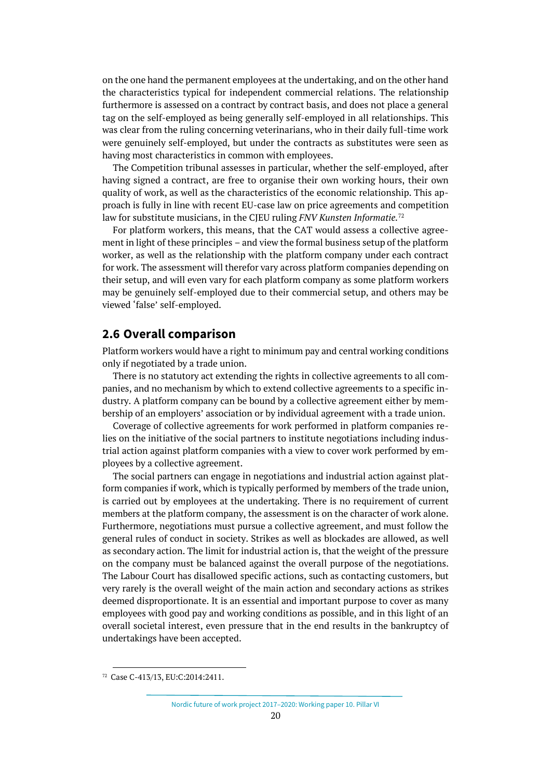on the one hand the permanent employees at the undertaking, and on the other hand the characteristics typical for independent commercial relations. The relationship furthermore is assessed on a contract by contract basis, and does not place a general tag on the self-employed as being generally self-employed in all relationships. This was clear from the ruling concerning veterinarians, who in their daily full-time work were genuinely self-employed, but under the contracts as substitutes were seen as having most characteristics in common with employees.

The Competition tribunal assesses in particular, whether the self-employed, after having signed a contract, are free to organise their own working hours, their own quality of work, as well as the characteristics of the economic relationship. This approach is fully in line with recent EU-case law on price agreements and competition law for substitute musicians, in the CJEU ruling *FNV Kunsten Informatie.*[72](#page-19-1)

For platform workers, this means, that the CAT would assess a collective agreement in light of these principles – and view the formal business setup of the platform worker, as well as the relationship with the platform company under each contract for work. The assessment will therefor vary across platform companies depending on their setup, and will even vary for each platform company as some platform workers may be genuinely self-employed due to their commercial setup, and others may be viewed 'false' self-employed.

## <span id="page-19-0"></span>**2.6 Overall comparison**

Platform workers would have a right to minimum pay and central working conditions only if negotiated by a trade union.

There is no statutory act extending the rights in collective agreements to all companies, and no mechanism by which to extend collective agreements to a specific industry. A platform company can be bound by a collective agreement either by membership of an employers' association or by individual agreement with a trade union.

Coverage of collective agreements for work performed in platform companies relies on the initiative of the social partners to institute negotiations including industrial action against platform companies with a view to cover work performed by employees by a collective agreement.

The social partners can engage in negotiations and industrial action against platform companies if work, which is typically performed by members of the trade union, is carried out by employees at the undertaking. There is no requirement of current members at the platform company, the assessment is on the character of work alone. Furthermore, negotiations must pursue a collective agreement, and must follow the general rules of conduct in society. Strikes as well as blockades are allowed, as well as secondary action. The limit for industrial action is, that the weight of the pressure on the company must be balanced against the overall purpose of the negotiations. The Labour Court has disallowed specific actions, such as contacting customers, but very rarely is the overall weight of the main action and secondary actions as strikes deemed disproportionate. It is an essential and important purpose to cover as many employees with good pay and working conditions as possible, and in this light of an overall societal interest, even pressure that in the end results in the bankruptcy of undertakings have been accepted.

<span id="page-19-1"></span><sup>72</sup> Case C-413/13, EU:C:2014:2411.

Nordic future of work project 2017–2020: Working paper 10. Pillar VI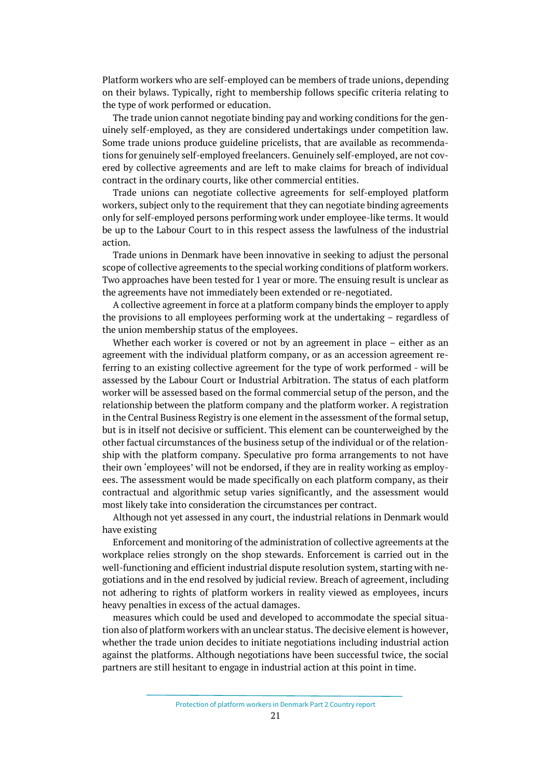Platform workers who are self-employed can be members of trade unions, depending on their bylaws. Typically, right to membership follows specific criteria relating to the type of work performed or education.

The trade union cannot negotiate binding pay and working conditions for the genuinely self-employed, as they are considered undertakings under competition law. Some trade unions produce guideline pricelists, that are available as recommendations for genuinely self-employed freelancers. Genuinely self-employed, are not covered by collective agreements and are left to make claims for breach of individual contract in the ordinary courts, like other commercial entities.

Trade unions can negotiate collective agreements for self-employed platform workers, subject only to the requirement that they can negotiate binding agreements only for self-employed persons performing work under employee-like terms. It would be up to the Labour Court to in this respect assess the lawfulness of the industrial action.

Trade unions in Denmark have been innovative in seeking to adjust the personal scope of collective agreements to the special working conditions of platform workers. Two approaches have been tested for 1 year or more. The ensuing result is unclear as the agreements have not immediately been extended or re-negotiated.

A collective agreement in force at a platform company binds the employer to apply the provisions to all employees performing work at the undertaking – regardless of the union membership status of the employees.

Whether each worker is covered or not by an agreement in place – either as an agreement with the individual platform company, or as an accession agreement referring to an existing collective agreement for the type of work performed - will be assessed by the Labour Court or Industrial Arbitration. The status of each platform worker will be assessed based on the formal commercial setup of the person, and the relationship between the platform company and the platform worker. A registration in the Central Business Registry is one element in the assessment of the formal setup, but is in itself not decisive or sufficient. This element can be counterweighed by the other factual circumstances of the business setup of the individual or of the relationship with the platform company. Speculative pro forma arrangements to not have their own 'employees' will not be endorsed, if they are in reality working as employees. The assessment would be made specifically on each platform company, as their contractual and algorithmic setup varies significantly, and the assessment would most likely take into consideration the circumstances per contract.

Although not yet assessed in any court, the industrial relations in Denmark would have existing

Enforcement and monitoring of the administration of collective agreements at the workplace relies strongly on the shop stewards. Enforcement is carried out in the well-functioning and efficient industrial dispute resolution system, starting with negotiations and in the end resolved by judicial review. Breach of agreement, including not adhering to rights of platform workers in reality viewed as employees, incurs heavy penalties in excess of the actual damages.

measures which could be used and developed to accommodate the special situation also of platform workers with an unclear status. The decisive element is however, whether the trade union decides to initiate negotiations including industrial action against the platforms. Although negotiations have been successful twice, the social partners are still hesitant to engage in industrial action at this point in time.

Protection of platform workers in Denmark Part 2 Country report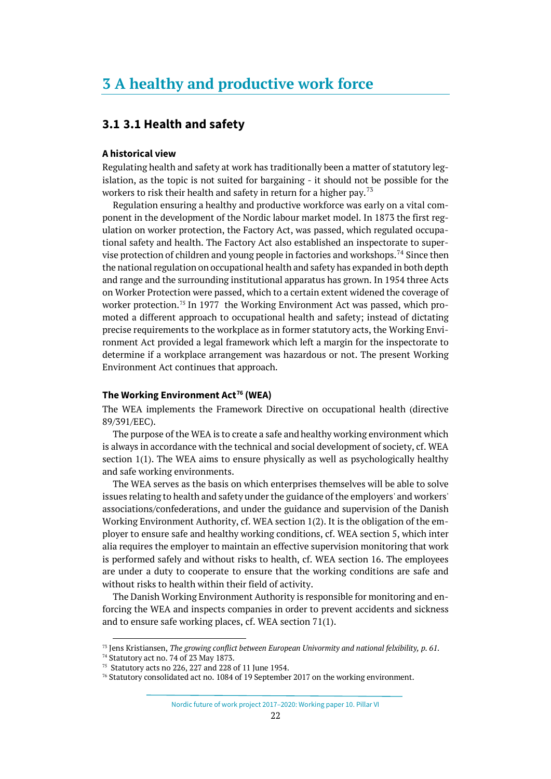# <span id="page-21-1"></span><span id="page-21-0"></span>**3.1 3.1 Health and safety**

## **A historical view**

Regulating health and safety at work has traditionally been a matter of statutory legislation, as the topic is not suited for bargaining - it should not be possible for the workers to risk their health and safety in return for a higher pay.<sup>[73](#page-21-2)</sup>

Regulation ensuring a healthy and productive workforce was early on a vital component in the development of the Nordic labour market model. In 1873 the first regulation on worker protection, the Factory Act, was passed, which regulated occupational safety and health. The Factory Act also established an inspectorate to super-vise protection of children and young people in factories and workshops.<sup>[74](#page-21-3)</sup> Since then the national regulation on occupational health and safety has expanded in both depth and range and the surrounding institutional apparatus has grown. In 1954 three Acts on Worker Protection were passed, which to a certain extent widened the coverage of worker protection.<sup>[75](#page-21-4)</sup> In 1977 the Working Environment Act was passed, which promoted a different approach to occupational health and safety; instead of dictating precise requirements to the workplace as in former statutory acts, the Working Environment Act provided a legal framework which left a margin for the inspectorate to determine if a workplace arrangement was hazardous or not. The present Working Environment Act continues that approach.

## **The Working Environment Act[76](#page-21-5) (WEA)**

The WEA implements the Framework Directive on occupational health (directive 89/391/EEC).

The purpose of the WEA is to create a safe and healthy working environment which is always in accordance with the technical and social development of society, cf. WEA section 1(1). The WEA aims to ensure physically as well as psychologically healthy and safe working environments.

The WEA serves as the basis on which enterprises themselves will be able to solve issues relating to health and safety under the guidance of the employers' and workers' associations/confederations, and under the guidance and supervision of the Danish Working Environment Authority, cf. WEA section 1(2). It is the obligation of the employer to ensure safe and healthy working conditions, cf. WEA section 5, which inter alia requires the employer to maintain an effective supervision monitoring that work is performed safely and without risks to health, cf. WEA section 16. The employees are under a duty to cooperate to ensure that the working conditions are safe and without risks to health within their field of activity.

The Danish Working Environment Authority is responsible for monitoring and enforcing the WEA and inspects companies in order to prevent accidents and sickness and to ensure safe working places, cf. WEA section 71(1).

<span id="page-21-2"></span><sup>73</sup> Jens Kristiansen, *The growing conflict between European Univormity and national felxibility, p. 61.*

Nordic future of work project 2017–2020: Working paper 10. Pillar VI

<span id="page-21-3"></span><sup>74</sup> Statutory act no. 74 of 23 May 1873.

<span id="page-21-5"></span><span id="page-21-4"></span><sup>75</sup> Statutory acts no 226, 227 and 228 of 11 June 1954.

<sup>76</sup> Statutory consolidated act no. 1084 of 19 September 2017 on the working environment.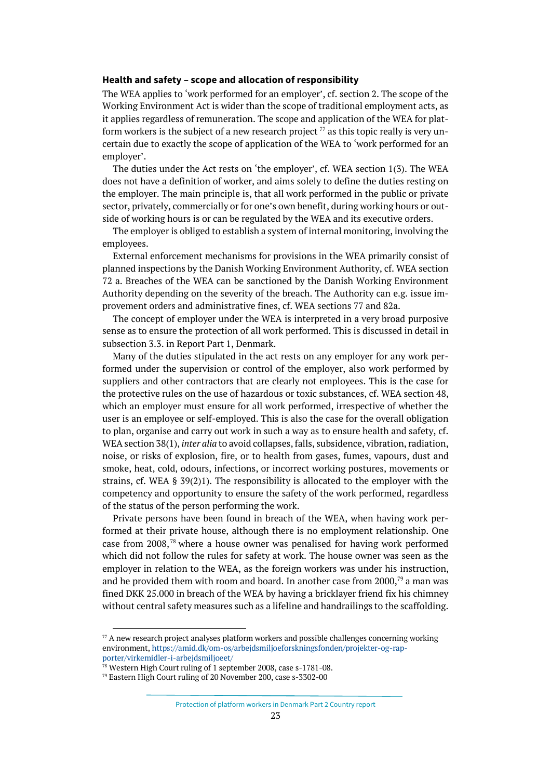## **Health and safety – scope and allocation of responsibility**

The WEA applies to 'work performed for an employer', cf. section 2. The scope of the Working Environment Act is wider than the scope of traditional employment acts, as it applies regardless of remuneration. The scope and application of the WEA for platform workers is the subject of a new research project  $77$  as this topic really is very uncertain due to exactly the scope of application of the WEA to 'work performed for an employer'.

The duties under the Act rests on 'the employer', cf. WEA section 1(3). The WEA does not have a definition of worker, and aims solely to define the duties resting on the employer. The main principle is, that all work performed in the public or private sector, privately, commercially or for one's own benefit, during working hours or outside of working hours is or can be regulated by the WEA and its executive orders.

The employer is obliged to establish a system of internal monitoring, involving the employees.

External enforcement mechanisms for provisions in the WEA primarily consist of planned inspections by the Danish Working Environment Authority, cf. WEA section 72 a. Breaches of the WEA can be sanctioned by the Danish Working Environment Authority depending on the severity of the breach. The Authority can e.g. issue improvement orders and administrative fines, cf. WEA sections 77 and 82a.

The concept of employer under the WEA is interpreted in a very broad purposive sense as to ensure the protection of all work performed. This is discussed in detail in subsection 3.3. in Report Part 1, Denmark.

Many of the duties stipulated in the act rests on any employer for any work performed under the supervision or control of the employer, also work performed by suppliers and other contractors that are clearly not employees. This is the case for the protective rules on the use of hazardous or toxic substances, cf. WEA section 48, which an employer must ensure for all work performed, irrespective of whether the user is an employee or self-employed. This is also the case for the overall obligation to plan, organise and carry out work in such a way as to ensure health and safety, cf. WEA section 38(1), *inter alia* to avoid collapses, falls, subsidence, vibration, radiation, noise, or risks of explosion, fire, or to health from gases, fumes, vapours, dust and smoke, heat, cold, odours, infections, or incorrect working postures, movements or strains, cf. WEA § 39(2)1). The responsibility is allocated to the employer with the competency and opportunity to ensure the safety of the work performed, regardless of the status of the person performing the work.

Private persons have been found in breach of the WEA, when having work performed at their private house, although there is no employment relationship. One case from 2008,[78](#page-22-1) where a house owner was penalised for having work performed which did not follow the rules for safety at work. The house owner was seen as the employer in relation to the WEA, as the foreign workers was under his instruction, and he provided them with room and board. In another case from  $2000$ ,<sup>79</sup> a man was fined DKK 25.000 in breach of the WEA by having a bricklayer friend fix his chimney without central safety measures such as a lifeline and handrailings to the scaffolding.

<span id="page-22-0"></span> $77$  A new research project analyses platform workers and possible challenges concerning working environment[, https://amid.dk/om-os/arbejdsmiljoeforskningsfonden/projekter-og-rap](https://amid.dk/om-os/arbejdsmiljoeforskningsfonden/projekter-og-rapporter/virkemidler-i-arbejdsmiljoeet/)[porter/virkemidler-i-arbejdsmiljoeet/](https://amid.dk/om-os/arbejdsmiljoeforskningsfonden/projekter-og-rapporter/virkemidler-i-arbejdsmiljoeet/)

<span id="page-22-1"></span><sup>78</sup> Western High Court ruling of 1 september 2008, case s-1781-08.

<span id="page-22-2"></span><sup>79</sup> Eastern High Court ruling of 20 November 200, case s-3302-00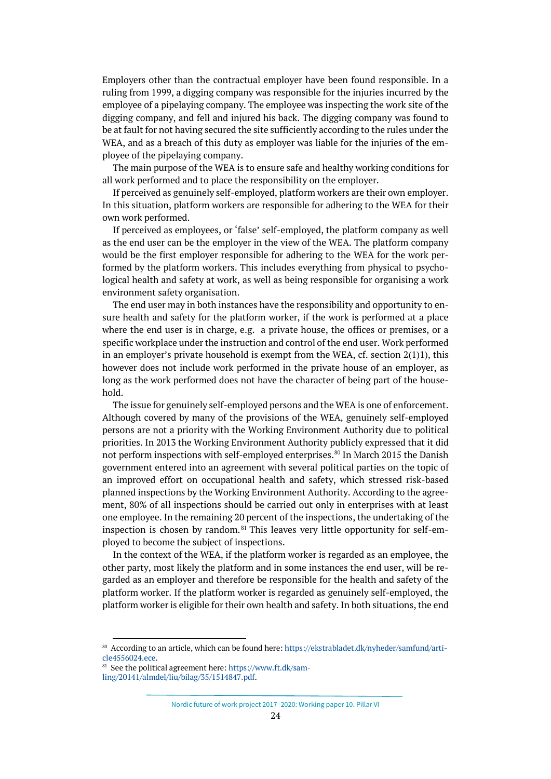Employers other than the contractual employer have been found responsible. In a ruling from 1999, a digging company was responsible for the injuries incurred by the employee of a pipelaying company. The employee was inspecting the work site of the digging company, and fell and injured his back. The digging company was found to be at fault for not having secured the site sufficiently according to the rules under the WEA, and as a breach of this duty as employer was liable for the injuries of the employee of the pipelaying company.

The main purpose of the WEA is to ensure safe and healthy working conditions for all work performed and to place the responsibility on the employer.

If perceived as genuinely self-employed, platform workers are their own employer. In this situation, platform workers are responsible for adhering to the WEA for their own work performed.

If perceived as employees, or 'false' self-employed, the platform company as well as the end user can be the employer in the view of the WEA. The platform company would be the first employer responsible for adhering to the WEA for the work performed by the platform workers. This includes everything from physical to psychological health and safety at work, as well as being responsible for organising a work environment safety organisation.

The end user may in both instances have the responsibility and opportunity to ensure health and safety for the platform worker, if the work is performed at a place where the end user is in charge, e.g. a private house, the offices or premises, or a specific workplace under the instruction and control of the end user. Work performed in an employer's private household is exempt from the WEA, cf. section  $2(1)1$ , this however does not include work performed in the private house of an employer, as long as the work performed does not have the character of being part of the household.

The issue for genuinely self-employed persons and the WEA is one of enforcement. Although covered by many of the provisions of the WEA, genuinely self-employed persons are not a priority with the Working Environment Authority due to political priorities. In 2013 the Working Environment Authority publicly expressed that it did not perform inspections with self-employed enterprises. $^{80}$  $^{80}$  $^{80}$  In March 2015 the Danish government entered into an agreement with several political parties on the topic of an improved effort on occupational health and safety, which stressed risk-based planned inspections by the Working Environment Authority. According to the agreement, 80% of all inspections should be carried out only in enterprises with at least one employee. In the remaining 20 percent of the inspections, the undertaking of the inspection is chosen by random. [81](#page-23-1) This leaves very little opportunity for self-employed to become the subject of inspections.

In the context of the WEA, if the platform worker is regarded as an employee, the other party, most likely the platform and in some instances the end user, will be regarded as an employer and therefore be responsible for the health and safety of the platform worker. If the platform worker is regarded as genuinely self-employed, the platform worker is eligible for their own health and safety. In both situations, the end

Nordic future of work project 2017–2020: Working paper 10. Pillar VI

<span id="page-23-0"></span><sup>80</sup> According to an article, which can be found here[: https://ekstrabladet.dk/nyheder/samfund/arti](https://ekstrabladet.dk/nyheder/samfund/article4556024.ece)[cle4556024.ece.](https://ekstrabladet.dk/nyheder/samfund/article4556024.ece)

<span id="page-23-1"></span><sup>81</sup> See the political agreement here[: https://www.ft.dk/sam-](https://www.ft.dk/samling/20141/almdel/liu/bilag/35/1514847.pdf)

[ling/20141/almdel/liu/bilag/35/1514847.pdf.](https://www.ft.dk/samling/20141/almdel/liu/bilag/35/1514847.pdf)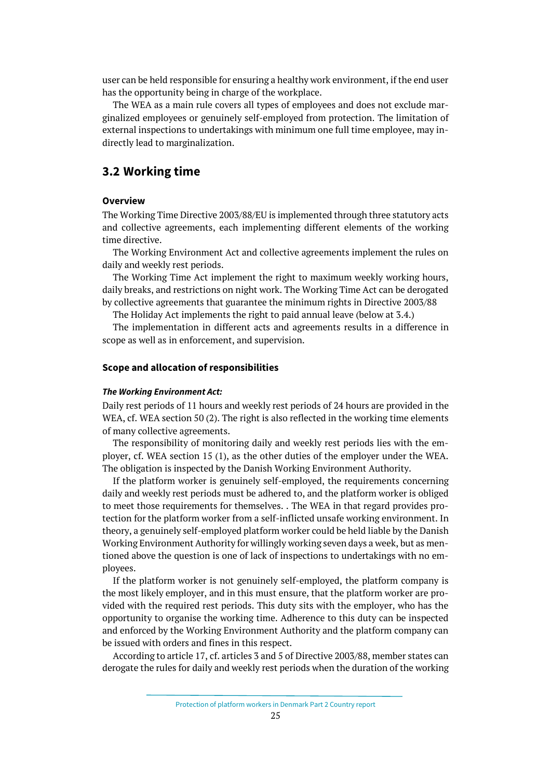user can be held responsible for ensuring a healthy work environment, if the end user has the opportunity being in charge of the workplace.

The WEA as a main rule covers all types of employees and does not exclude marginalized employees or genuinely self-employed from protection. The limitation of external inspections to undertakings with minimum one full time employee, may indirectly lead to marginalization.

# <span id="page-24-0"></span>**3.2 Working time**

## **Overview**

The Working Time Directive 2003/88/EU is implemented through three statutory acts and collective agreements, each implementing different elements of the working time directive.

The Working Environment Act and collective agreements implement the rules on daily and weekly rest periods.

The Working Time Act implement the right to maximum weekly working hours, daily breaks, and restrictions on night work. The Working Time Act can be derogated by collective agreements that guarantee the minimum rights in Directive 2003/88

The Holiday Act implements the right to paid annual leave (below at 3.4.)

The implementation in different acts and agreements results in a difference in scope as well as in enforcement, and supervision.

#### **Scope and allocation of responsibilities**

#### *The Working Environment Act:*

Daily rest periods of 11 hours and weekly rest periods of 24 hours are provided in the WEA, cf. WEA section 50 (2). The right is also reflected in the working time elements of many collective agreements.

The responsibility of monitoring daily and weekly rest periods lies with the employer, cf. WEA section 15 (1), as the other duties of the employer under the WEA. The obligation is inspected by the Danish Working Environment Authority.

If the platform worker is genuinely self-employed, the requirements concerning daily and weekly rest periods must be adhered to, and the platform worker is obliged to meet those requirements for themselves. . The WEA in that regard provides protection for the platform worker from a self-inflicted unsafe working environment. In theory, a genuinely self-employed platform worker could be held liable by the Danish Working Environment Authority for willingly working seven days a week, but as mentioned above the question is one of lack of inspections to undertakings with no employees.

If the platform worker is not genuinely self-employed, the platform company is the most likely employer, and in this must ensure, that the platform worker are provided with the required rest periods. This duty sits with the employer, who has the opportunity to organise the working time. Adherence to this duty can be inspected and enforced by the Working Environment Authority and the platform company can be issued with orders and fines in this respect.

According to article 17, cf. articles 3 and 5 of Directive 2003/88, member states can derogate the rules for daily and weekly rest periods when the duration of the working

Protection of platform workers in Denmark Part 2 Country report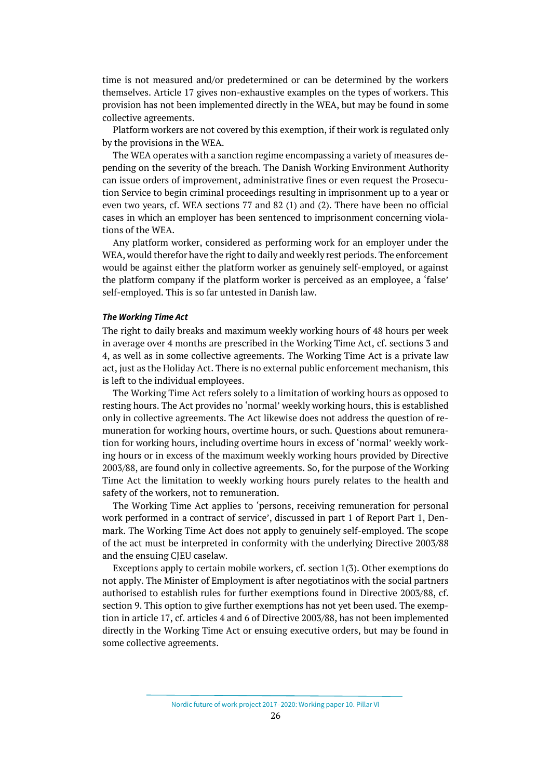time is not measured and/or predetermined or can be determined by the workers themselves. Article 17 gives non-exhaustive examples on the types of workers. This provision has not been implemented directly in the WEA, but may be found in some collective agreements.

Platform workers are not covered by this exemption, if their work is regulated only by the provisions in the WEA.

The WEA operates with a sanction regime encompassing a variety of measures depending on the severity of the breach. The Danish Working Environment Authority can issue orders of improvement, administrative fines or even request the Prosecution Service to begin criminal proceedings resulting in imprisonment up to a year or even two years, cf. WEA sections 77 and 82 (1) and (2). There have been no official cases in which an employer has been sentenced to imprisonment concerning violations of the WEA.

Any platform worker, considered as performing work for an employer under the WEA, would therefor have the right to daily and weekly rest periods. The enforcement would be against either the platform worker as genuinely self-employed, or against the platform company if the platform worker is perceived as an employee, a 'false' self-employed. This is so far untested in Danish law.

#### *The Working Time Act*

The right to daily breaks and maximum weekly working hours of 48 hours per week in average over 4 months are prescribed in the Working Time Act, cf. sections 3 and 4, as well as in some collective agreements. The Working Time Act is a private law act, just as the Holiday Act. There is no external public enforcement mechanism, this is left to the individual employees.

The Working Time Act refers solely to a limitation of working hours as opposed to resting hours. The Act provides no 'normal' weekly working hours, this is established only in collective agreements. The Act likewise does not address the question of remuneration for working hours, overtime hours, or such. Questions about remuneration for working hours, including overtime hours in excess of 'normal' weekly working hours or in excess of the maximum weekly working hours provided by Directive 2003/88, are found only in collective agreements. So, for the purpose of the Working Time Act the limitation to weekly working hours purely relates to the health and safety of the workers, not to remuneration.

The Working Time Act applies to 'persons, receiving remuneration for personal work performed in a contract of service', discussed in part 1 of Report Part 1, Denmark. The Working Time Act does not apply to genuinely self-employed. The scope of the act must be interpreted in conformity with the underlying Directive 2003/88 and the ensuing CJEU caselaw.

Exceptions apply to certain mobile workers, cf. section 1(3). Other exemptions do not apply. The Minister of Employment is after negotiatinos with the social partners authorised to establish rules for further exemptions found in Directive 2003/88, cf. section 9. This option to give further exemptions has not yet been used. The exemption in article 17, cf. articles 4 and 6 of Directive 2003/88, has not been implemented directly in the Working Time Act or ensuing executive orders, but may be found in some collective agreements.

Nordic future of work project 2017–2020: Working paper 10. Pillar VI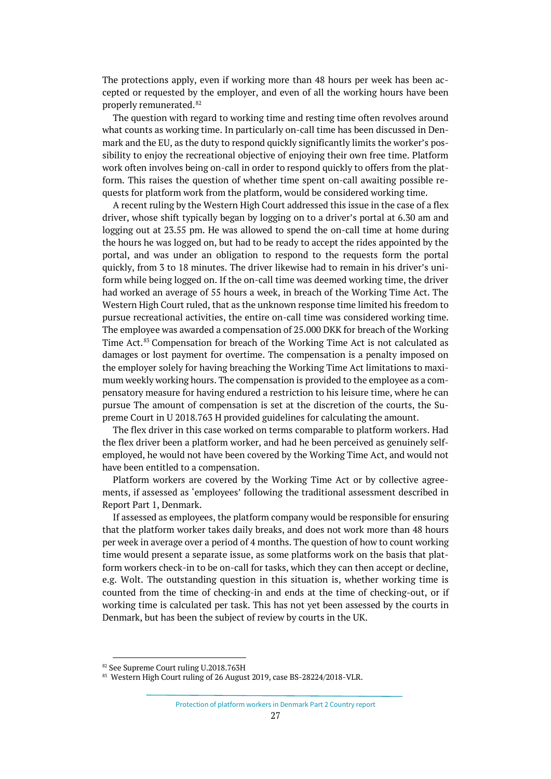The protections apply, even if working more than 48 hours per week has been accepted or requested by the employer, and even of all the working hours have been properly remunerated.<sup>[82](#page-26-0)</sup>

The question with regard to working time and resting time often revolves around what counts as working time. In particularly on-call time has been discussed in Denmark and the EU, as the duty to respond quickly significantly limits the worker's possibility to enjoy the recreational objective of enjoying their own free time. Platform work often involves being on-call in order to respond quickly to offers from the platform. This raises the question of whether time spent on-call awaiting possible requests for platform work from the platform, would be considered working time.

A recent ruling by the Western High Court addressed this issue in the case of a flex driver, whose shift typically began by logging on to a driver's portal at 6.30 am and logging out at 23.55 pm. He was allowed to spend the on-call time at home during the hours he was logged on, but had to be ready to accept the rides appointed by the portal, and was under an obligation to respond to the requests form the portal quickly, from 3 to 18 minutes. The driver likewise had to remain in his driver's uniform while being logged on. If the on-call time was deemed working time, the driver had worked an average of 55 hours a week, in breach of the Working Time Act. The Western High Court ruled, that as the unknown response time limited his freedom to pursue recreational activities, the entire on-call time was considered working time. The employee was awarded a compensation of 25.000 DKK for breach of the Working Time Act.<sup>[83](#page-26-1)</sup> Compensation for breach of the Working Time Act is not calculated as damages or lost payment for overtime. The compensation is a penalty imposed on the employer solely for having breaching the Working Time Act limitations to maximum weekly working hours. The compensation is provided to the employee as a compensatory measure for having endured a restriction to his leisure time, where he can pursue The amount of compensation is set at the discretion of the courts, the Supreme Court in U 2018.763 H provided guidelines for calculating the amount.

The flex driver in this case worked on terms comparable to platform workers. Had the flex driver been a platform worker, and had he been perceived as genuinely selfemployed, he would not have been covered by the Working Time Act, and would not have been entitled to a compensation.

Platform workers are covered by the Working Time Act or by collective agreements, if assessed as 'employees' following the traditional assessment described in Report Part 1, Denmark.

If assessed as employees, the platform company would be responsible for ensuring that the platform worker takes daily breaks, and does not work more than 48 hours per week in average over a period of 4 months. The question of how to count working time would present a separate issue, as some platforms work on the basis that platform workers check-in to be on-call for tasks, which they can then accept or decline, e.g. Wolt. The outstanding question in this situation is, whether working time is counted from the time of checking-in and ends at the time of checking-out, or if working time is calculated per task. This has not yet been assessed by the courts in Denmark, but has been the subject of review by courts in the UK.

<span id="page-26-0"></span><sup>82</sup> See Supreme Court ruling U.2018.763H

<span id="page-26-1"></span><sup>83</sup> Western High Court ruling of 26 August 2019, case BS-28224/2018-VLR.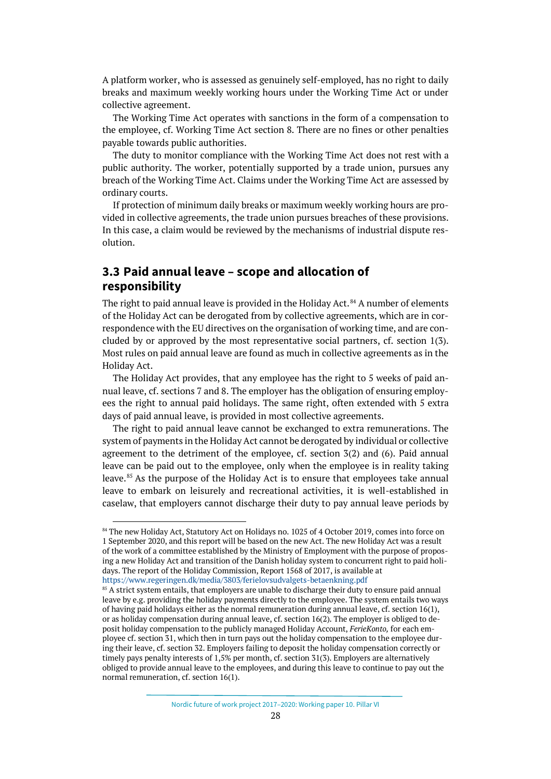A platform worker, who is assessed as genuinely self-employed, has no right to daily breaks and maximum weekly working hours under the Working Time Act or under collective agreement.

The Working Time Act operates with sanctions in the form of a compensation to the employee, cf. Working Time Act section 8. There are no fines or other penalties payable towards public authorities.

The duty to monitor compliance with the Working Time Act does not rest with a public authority. The worker, potentially supported by a trade union, pursues any breach of the Working Time Act. Claims under the Working Time Act are assessed by ordinary courts.

If protection of minimum daily breaks or maximum weekly working hours are provided in collective agreements, the trade union pursues breaches of these provisions. In this case, a claim would be reviewed by the mechanisms of industrial dispute resolution.

# <span id="page-27-0"></span>**3.3 Paid annual leave – scope and allocation of responsibility**

The right to paid annual leave is provided in the Holiday Act.<sup>[84](#page-27-1)</sup> A number of elements of the Holiday Act can be derogated from by collective agreements, which are in correspondence with the EU directives on the organisation of working time, and are concluded by or approved by the most representative social partners, cf. section 1(3). Most rules on paid annual leave are found as much in collective agreements as in the Holiday Act.

The Holiday Act provides, that any employee has the right to 5 weeks of paid annual leave, cf. sections 7 and 8. The employer has the obligation of ensuring employees the right to annual paid holidays. The same right, often extended with 5 extra days of paid annual leave, is provided in most collective agreements.

The right to paid annual leave cannot be exchanged to extra remunerations. The system of payments in the Holiday Act cannot be derogated by individual or collective agreement to the detriment of the employee, cf. section 3(2) and (6). Paid annual leave can be paid out to the employee, only when the employee is in reality taking leave.[85](#page-27-2) As the purpose of the Holiday Act is to ensure that employees take annual leave to embark on leisurely and recreational activities, it is well-established in caselaw, that employers cannot discharge their duty to pay annual leave periods by

<span id="page-27-1"></span><sup>84</sup> The new Holiday Act, Statutory Act on Holidays no. 1025 of 4 October 2019, comes into force on 1 September 2020, and this report will be based on the new Act. The new Holiday Act was a result of the work of a committee established by the Ministry of Employment with the purpose of proposing a new Holiday Act and transition of the Danish holiday system to concurrent right to paid holidays. The report of the Holiday Commission, Report 1568 of 2017, is available at <https://www.regeringen.dk/media/3803/ferielovsudvalgets-betaenkning.pdf>

<span id="page-27-2"></span><sup>&</sup>lt;sup>85</sup> A strict system entails, that employers are unable to discharge their duty to ensure paid annual leave by e.g. providing the holiday payments directly to the employee. The system entails two ways of having paid holidays either as the normal remuneration during annual leave, cf. section 16(1), or as holiday compensation during annual leave, cf. section 16(2). The employer is obliged to deposit holiday compensation to the publicly managed Holiday Account, *FerieKonto,* for each employee cf. section 31, which then in turn pays out the holiday compensation to the employee during their leave, cf. section 32. Employers failing to deposit the holiday compensation correctly or timely pays penalty interests of 1,5% per month, cf. section 31(3). Employers are alternatively obliged to provide annual leave to the employees, and during this leave to continue to pay out the normal remuneration, cf. section 16(1).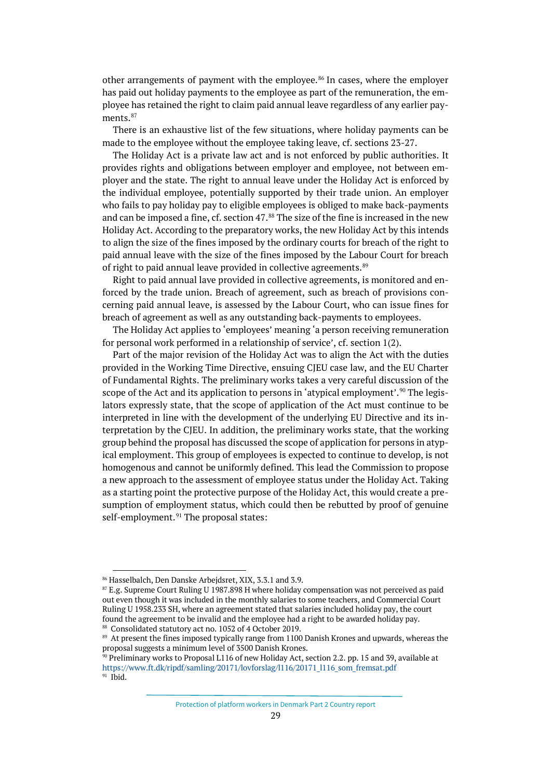other arrangements of payment with the employee. $86$  In cases, where the employer has paid out holiday payments to the employee as part of the remuneration, the employee has retained the right to claim paid annual leave regardless of any earlier pay-ments.<sup>[87](#page-28-1)</sup>

There is an exhaustive list of the few situations, where holiday payments can be made to the employee without the employee taking leave, cf. sections 23-27.

The Holiday Act is a private law act and is not enforced by public authorities. It provides rights and obligations between employer and employee, not between employer and the state. The right to annual leave under the Holiday Act is enforced by the individual employee, potentially supported by their trade union. An employer who fails to pay holiday pay to eligible employees is obliged to make back-payments and can be imposed a fine, cf. section 47.<sup>[88](#page-28-2)</sup> The size of the fine is increased in the new Holiday Act. According to the preparatory works, the new Holiday Act by this intends to align the size of the fines imposed by the ordinary courts for breach of the right to paid annual leave with the size of the fines imposed by the Labour Court for breach of right to paid annual leave provided in collective agreements.<sup>[89](#page-28-3)</sup>

Right to paid annual lave provided in collective agreements, is monitored and enforced by the trade union. Breach of agreement, such as breach of provisions concerning paid annual leave, is assessed by the Labour Court, who can issue fines for breach of agreement as well as any outstanding back-payments to employees.

The Holiday Act applies to 'employees' meaning 'a person receiving remuneration for personal work performed in a relationship of service', cf. section 1(2).

Part of the major revision of the Holiday Act was to align the Act with the duties provided in the Working Time Directive, ensuing CJEU case law, and the EU Charter of Fundamental Rights. The preliminary works takes a very careful discussion of the scope of the Act and its application to persons in 'atypical employment'.<sup>[90](#page-28-4)</sup> The legislators expressly state, that the scope of application of the Act must continue to be interpreted in line with the development of the underlying EU Directive and its interpretation by the CJEU. In addition, the preliminary works state, that the working group behind the proposal has discussed the scope of application for persons in atypical employment. This group of employees is expected to continue to develop, is not homogenous and cannot be uniformly defined. This lead the Commission to propose a new approach to the assessment of employee status under the Holiday Act. Taking as a starting point the protective purpose of the Holiday Act, this would create a presumption of employment status, which could then be rebutted by proof of genuine self-employment.<sup>[91](#page-28-5)</sup> The proposal states:

Protection of platform workers in Denmark Part 2 Country report

<span id="page-28-0"></span><sup>86</sup> Hasselbalch, Den Danske Arbejdsret, XIX, 3.3.1 and 3.9.

<span id="page-28-1"></span> $87$  E.g. Supreme Court Ruling U 1987.898 H where holiday compensation was not perceived as paid out even though it was included in the monthly salaries to some teachers, and Commercial Court Ruling U 1958.233 SH, where an agreement stated that salaries included holiday pay, the court found the agreement to be invalid and the employee had a right to be awarded holiday pay. 88 Consolidated statutory act no. 1052 of 4 October 2019.

<span id="page-28-3"></span><span id="page-28-2"></span><sup>&</sup>lt;sup>89</sup> At present the fines imposed typically range from 1100 Danish Krones and upwards, whereas the proposal suggests a minimum level of 3500 Danish Krones.

<span id="page-28-5"></span><span id="page-28-4"></span><sup>&</sup>lt;sup>90</sup> Preliminary works to Proposal L116 of new Holiday Act, section 2.2. pp. 15 and 39, available at [https://www.ft.dk/ripdf/samling/20171/lovforslag/l116/20171\\_l116\\_som\\_fremsat.pdf](https://www.ft.dk/ripdf/samling/20171/lovforslag/l116/20171_l116_som_fremsat.pdf)  $91$  Ibid.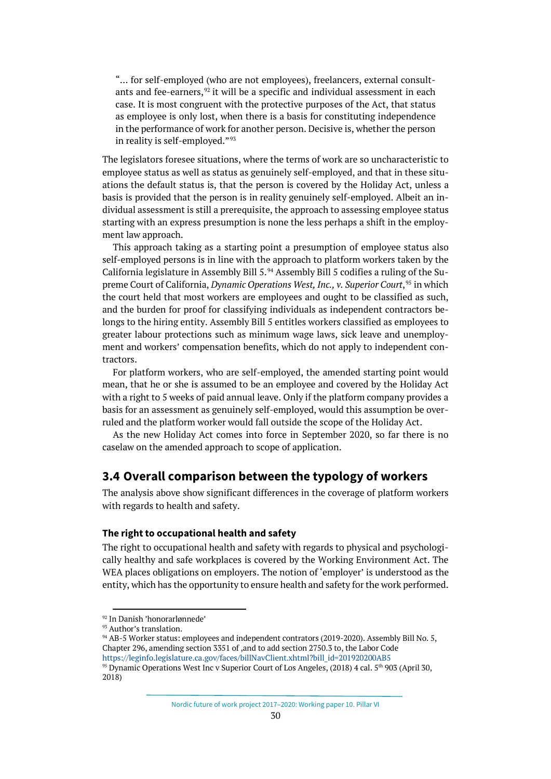"… for self-employed (who are not employees), freelancers, external consultants and fee-earners,  $92$  it will be a specific and individual assessment in each case. It is most congruent with the protective purposes of the Act, that status as employee is only lost, when there is a basis for constituting independence in the performance of work for another person. Decisive is, whether the person in reality is self-employed."<sup>[93](#page-29-2)</sup>

The legislators foresee situations, where the terms of work are so uncharacteristic to employee status as well as status as genuinely self-employed, and that in these situations the default status is, that the person is covered by the Holiday Act, unless a basis is provided that the person is in reality genuinely self-employed. Albeit an individual assessment is still a prerequisite, the approach to assessing employee status starting with an express presumption is none the less perhaps a shift in the employment law approach.

This approach taking as a starting point a presumption of employee status also self-employed persons is in line with the approach to platform workers taken by the California legislature in Assembly Bill 5.[94](#page-29-3) Assembly Bill 5 codifies a ruling of the Supreme Court of California, *Dynamic Operations West, Inc., v. Superior Court*, [95](#page-29-4) in which the court held that most workers are employees and ought to be classified as such, and the burden for proof for classifying individuals as independent contractors belongs to the hiring entity. Assembly Bill 5 entitles workers classified as employees to greater labour protections such as minimum wage laws, sick leave and unemployment and workers' compensation benefits, which do not apply to independent contractors.

For platform workers, who are self-employed, the amended starting point would mean, that he or she is assumed to be an employee and covered by the Holiday Act with a right to 5 weeks of paid annual leave. Only if the platform company provides a basis for an assessment as genuinely self-employed, would this assumption be overruled and the platform worker would fall outside the scope of the Holiday Act.

As the new Holiday Act comes into force in September 2020, so far there is no caselaw on the amended approach to scope of application.

# <span id="page-29-0"></span>**3.4 Overall comparison between the typology of workers**

The analysis above show significant differences in the coverage of platform workers with regards to health and safety.

### **The right to occupational health and safety**

The right to occupational health and safety with regards to physical and psychologically healthy and safe workplaces is covered by the Working Environment Act. The WEA places obligations on employers. The notion of 'employer' is understood as the entity, which has the opportunity to ensure health and safety for the work performed.

<span id="page-29-1"></span><sup>92</sup> In Danish 'honorarlønnede'

<span id="page-29-2"></span><sup>93</sup> Author's translation.

<span id="page-29-4"></span><span id="page-29-3"></span><sup>&</sup>lt;sup>94</sup> AB-5 Worker status: employees and independent contrators (2019-2020). Assembly Bill No. 5, Chapter 296, amending section 3351 of ,and to add section 2750.3 to, the Labor Code [https://leginfo.legislature.ca.gov/faces/billNavClient.xhtml?bill\\_id=201920200AB5](https://leginfo.legislature.ca.gov/faces/billNavClient.xhtml?bill_id=201920200AB5) <sup>95</sup> Dynamic Operations West Inc v Superior Court of Los Angeles, (2018) 4 cal. 5<sup>th</sup> 903 (April 30, 2018)

Nordic future of work project 2017–2020: Working paper 10. Pillar VI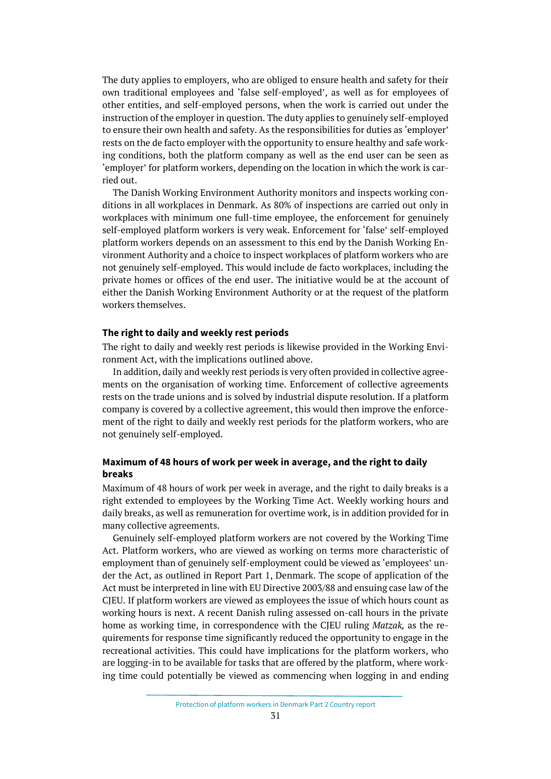The duty applies to employers, who are obliged to ensure health and safety for their own traditional employees and 'false self-employed', as well as for employees of other entities, and self-employed persons, when the work is carried out under the instruction of the employer in question. The duty applies to genuinely self-employed to ensure their own health and safety. As the responsibilities for duties as 'employer' rests on the de facto employer with the opportunity to ensure healthy and safe working conditions, both the platform company as well as the end user can be seen as 'employer' for platform workers, depending on the location in which the work is carried out.

The Danish Working Environment Authority monitors and inspects working conditions in all workplaces in Denmark. As 80% of inspections are carried out only in workplaces with minimum one full-time employee, the enforcement for genuinely self-employed platform workers is very weak. Enforcement for 'false' self-employed platform workers depends on an assessment to this end by the Danish Working Environment Authority and a choice to inspect workplaces of platform workers who are not genuinely self-employed. This would include de facto workplaces, including the private homes or offices of the end user. The initiative would be at the account of either the Danish Working Environment Authority or at the request of the platform workers themselves.

## **The right to daily and weekly rest periods**

The right to daily and weekly rest periods is likewise provided in the Working Environment Act, with the implications outlined above.

In addition, daily and weekly rest periods is very often provided in collective agreements on the organisation of working time. Enforcement of collective agreements rests on the trade unions and is solved by industrial dispute resolution. If a platform company is covered by a collective agreement, this would then improve the enforcement of the right to daily and weekly rest periods for the platform workers, who are not genuinely self-employed.

## **Maximum of 48 hours of work per week in average, and the right to daily breaks**

Maximum of 48 hours of work per week in average, and the right to daily breaks is a right extended to employees by the Working Time Act. Weekly working hours and daily breaks, as well as remuneration for overtime work, is in addition provided for in many collective agreements.

Genuinely self-employed platform workers are not covered by the Working Time Act. Platform workers, who are viewed as working on terms more characteristic of employment than of genuinely self-employment could be viewed as 'employees' under the Act, as outlined in Report Part 1, Denmark. The scope of application of the Act must be interpreted in line with EU Directive 2003/88 and ensuing case law of the CJEU. If platform workers are viewed as employees the issue of which hours count as working hours is next. A recent Danish ruling assessed on-call hours in the private home as working time, in correspondence with the CJEU ruling *Matzak,* as the requirements for response time significantly reduced the opportunity to engage in the recreational activities. This could have implications for the platform workers, who are logging-in to be available for tasks that are offered by the platform, where working time could potentially be viewed as commencing when logging in and ending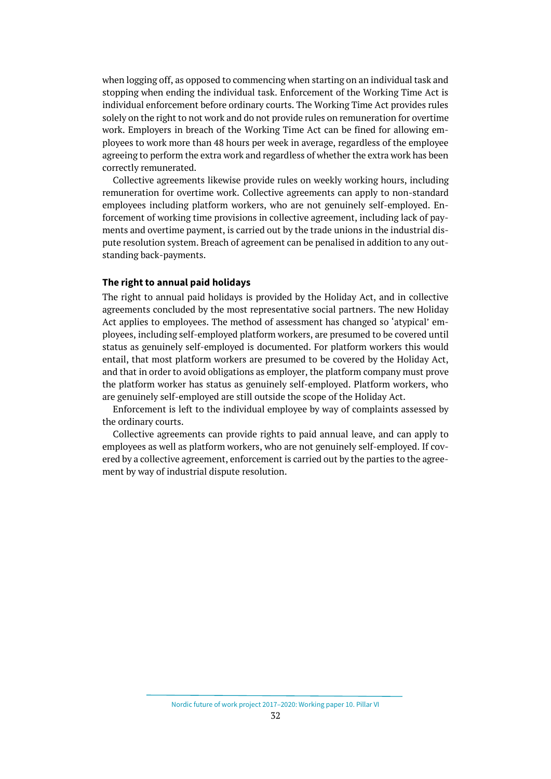when logging off, as opposed to commencing when starting on an individual task and stopping when ending the individual task. Enforcement of the Working Time Act is individual enforcement before ordinary courts. The Working Time Act provides rules solely on the right to not work and do not provide rules on remuneration for overtime work. Employers in breach of the Working Time Act can be fined for allowing employees to work more than 48 hours per week in average, regardless of the employee agreeing to perform the extra work and regardless of whether the extra work has been correctly remunerated.

Collective agreements likewise provide rules on weekly working hours, including remuneration for overtime work. Collective agreements can apply to non-standard employees including platform workers, who are not genuinely self-employed. Enforcement of working time provisions in collective agreement, including lack of payments and overtime payment, is carried out by the trade unions in the industrial dispute resolution system. Breach of agreement can be penalised in addition to any outstanding back-payments.

## **The right to annual paid holidays**

The right to annual paid holidays is provided by the Holiday Act, and in collective agreements concluded by the most representative social partners. The new Holiday Act applies to employees. The method of assessment has changed so 'atypical' employees, including self-employed platform workers, are presumed to be covered until status as genuinely self-employed is documented. For platform workers this would entail, that most platform workers are presumed to be covered by the Holiday Act, and that in order to avoid obligations as employer, the platform company must prove the platform worker has status as genuinely self-employed. Platform workers, who are genuinely self-employed are still outside the scope of the Holiday Act.

Enforcement is left to the individual employee by way of complaints assessed by the ordinary courts.

Collective agreements can provide rights to paid annual leave, and can apply to employees as well as platform workers, who are not genuinely self-employed. If covered by a collective agreement, enforcement is carried out by the parties to the agreement by way of industrial dispute resolution.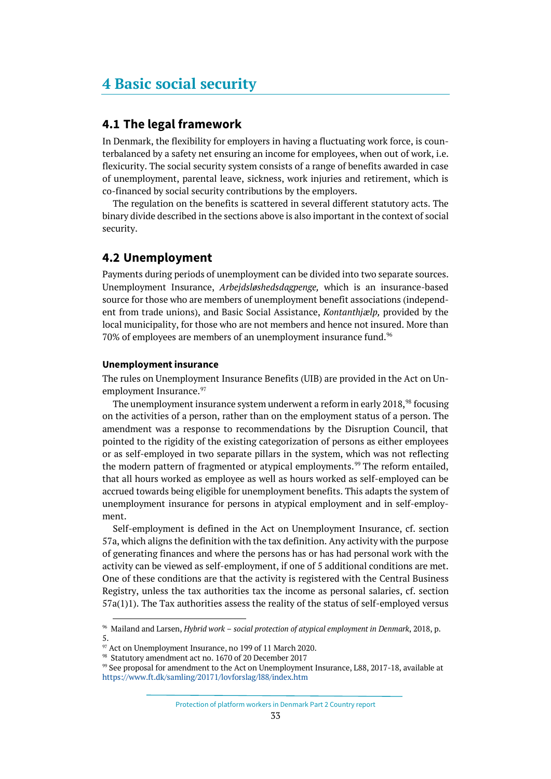# <span id="page-32-0"></span>**4 Basic social security**

# <span id="page-32-1"></span>**4.1 The legal framework**

In Denmark, the flexibility for employers in having a fluctuating work force, is counterbalanced by a safety net ensuring an income for employees, when out of work, i.e. flexicurity. The social security system consists of a range of benefits awarded in case of unemployment, parental leave, sickness, work injuries and retirement, which is co-financed by social security contributions by the employers.

The regulation on the benefits is scattered in several different statutory acts. The binary divide described in the sections above is also important in the context of social security.

# <span id="page-32-2"></span>**4.2 Unemployment**

Payments during periods of unemployment can be divided into two separate sources. Unemployment Insurance, *Arbejdsløshedsdagpenge,* which is an insurance-based source for those who are members of unemployment benefit associations (independent from trade unions), and Basic Social Assistance, *Kontanthjælp,* provided by the local municipality, for those who are not members and hence not insured. More than 70% of employees are members of an unemployment insurance fund.<sup>[96](#page-32-3)</sup>

## **Unemployment insurance**

The rules on Unemployment Insurance Benefits (UIB) are provided in the Act on Un-employment Insurance.<sup>[97](#page-32-4)</sup>

The unemployment insurance system underwent a reform in early 2018,<sup>[98](#page-32-5)</sup> focusing on the activities of a person, rather than on the employment status of a person. The amendment was a response to recommendations by the Disruption Council, that pointed to the rigidity of the existing categorization of persons as either employees or as self-employed in two separate pillars in the system, which was not reflecting the modern pattern of fragmented or atypical employments.<sup>[99](#page-32-6)</sup> The reform entailed, that all hours worked as employee as well as hours worked as self-employed can be accrued towards being eligible for unemployment benefits. This adapts the system of unemployment insurance for persons in atypical employment and in self-employment.

Self-employment is defined in the Act on Unemployment Insurance, cf. section 57a, which aligns the definition with the tax definition. Any activity with the purpose of generating finances and where the persons has or has had personal work with the activity can be viewed as self-employment, if one of 5 additional conditions are met. One of these conditions are that the activity is registered with the Central Business Registry, unless the tax authorities tax the income as personal salaries, cf. section 57a(1)1). The Tax authorities assess the reality of the status of self-employed versus

<span id="page-32-3"></span><sup>96</sup> Mailand and Larsen, *Hybrid work – social protection of atypical employment in Denmark*, 2018, p. 5.

Protection of platform workers in Denmark Part 2 Country report

<span id="page-32-4"></span> $\%$  Act on Unemployment Insurance, no 199 of 11 March 2020.  $\%$  Statutory amendment act no. 1670 of 20 December 2017

<span id="page-32-5"></span>

<span id="page-32-6"></span><sup>&</sup>lt;sup>99</sup> See proposal for amendment to the Act on Unemployment Insurance, L88, 2017-18, available at <https://www.ft.dk/samling/20171/lovforslag/l88/index.htm>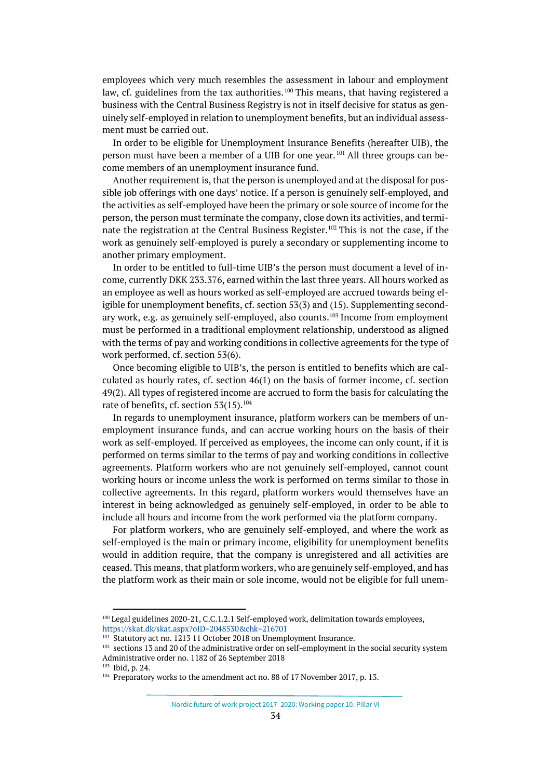employees which very much resembles the assessment in labour and employment law, cf. guidelines from the tax authorities.<sup>[100](#page-33-0)</sup> This means, that having registered a business with the Central Business Registry is not in itself decisive for status as genuinely self-employed in relation to unemployment benefits, but an individual assessment must be carried out.

In order to be eligible for Unemployment Insurance Benefits (hereafter UIB), the person must have been a member of a UIB for one year. [101](#page-33-1) All three groups can become members of an unemployment insurance fund.

Another requirement is, that the person is unemployed and at the disposal for possible job offerings with one days' notice. If a person is genuinely self-employed, and the activities as self-employed have been the primary or sole source of income for the person, the person must terminate the company, close down its activities, and terminate the registration at the Central Business Register. [102](#page-33-2) This is not the case, if the work as genuinely self-employed is purely a secondary or supplementing income to another primary employment.

In order to be entitled to full-time UIB's the person must document a level of income, currently DKK 233.376, earned within the last three years. All hours worked as an employee as well as hours worked as self-employed are accrued towards being eligible for unemployment benefits, cf. section 53(3) and (15). Supplementing secondary work, e.g. as genuinely self-employed, also counts. [103](#page-33-3) Income from employment must be performed in a traditional employment relationship, understood as aligned with the terms of pay and working conditions in collective agreements for the type of work performed, cf. section 53(6).

Once becoming eligible to UIB's, the person is entitled to benefits which are calculated as hourly rates, cf. section  $46(1)$  on the basis of former income, cf. section 49(2). All types of registered income are accrued to form the basis for calculating the rate of benefits, cf. section  $53(15)$ .<sup>[104](#page-33-4)</sup>

In regards to unemployment insurance, platform workers can be members of unemployment insurance funds, and can accrue working hours on the basis of their work as self-employed. If perceived as employees, the income can only count, if it is performed on terms similar to the terms of pay and working conditions in collective agreements. Platform workers who are not genuinely self-employed, cannot count working hours or income unless the work is performed on terms similar to those in collective agreements. In this regard, platform workers would themselves have an interest in being acknowledged as genuinely self-employed, in order to be able to include all hours and income from the work performed via the platform company.

For platform workers, who are genuinely self-employed, and where the work as self-employed is the main or primary income, eligibility for unemployment benefits would in addition require, that the company is unregistered and all activities are ceased. This means, that platform workers, who are genuinely self-employed, and has the platform work as their main or sole income, would not be eligible for full unem-

Nordic future of work project 2017–2020: Working paper 10. Pillar VI

<span id="page-33-0"></span><sup>&</sup>lt;sup>100</sup> Legal guidelines 2020-21, C.C.1.2.1 Self-employed work, delimitation towards employees, <https://skat.dk/skat.aspx?oID=2048530&chk=216701>

<sup>&</sup>lt;sup>101</sup> Statutory act no. 1213 11 October 2018 on Unemployment Insurance.

<span id="page-33-2"></span><span id="page-33-1"></span><sup>&</sup>lt;sup>102</sup> sections 13 and 20 of the administrative order on self-employment in the social security system Administrative order no. 1182 of 26 September 2018

<sup>103</sup> Ibid, p. 24.

<span id="page-33-4"></span><span id="page-33-3"></span><sup>&</sup>lt;sup>104</sup> Preparatory works to the amendment act no. 88 of 17 November 2017, p. 13.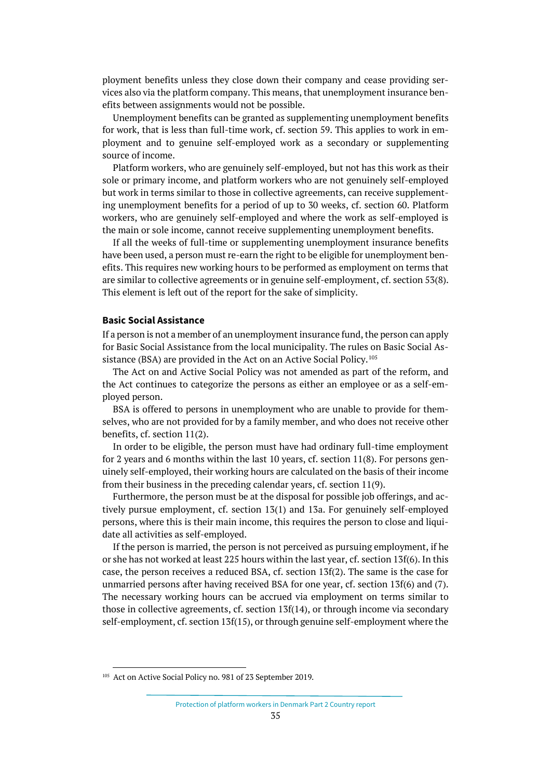ployment benefits unless they close down their company and cease providing services also via the platform company. This means, that unemployment insurance benefits between assignments would not be possible.

Unemployment benefits can be granted as supplementing unemployment benefits for work, that is less than full-time work, cf. section 59. This applies to work in employment and to genuine self-employed work as a secondary or supplementing source of income.

Platform workers, who are genuinely self-employed, but not has this work as their sole or primary income, and platform workers who are not genuinely self-employed but work in terms similar to those in collective agreements, can receive supplementing unemployment benefits for a period of up to 30 weeks, cf. section 60. Platform workers, who are genuinely self-employed and where the work as self-employed is the main or sole income, cannot receive supplementing unemployment benefits.

If all the weeks of full-time or supplementing unemployment insurance benefits have been used, a person must re-earn the right to be eligible for unemployment benefits. This requires new working hours to be performed as employment on terms that are similar to collective agreements or in genuine self-employment, cf. section 53(8). This element is left out of the report for the sake of simplicity.

### **Basic Social Assistance**

If a person is not a member of an unemployment insurance fund, the person can apply for Basic Social Assistance from the local municipality. The rules on Basic Social As-sistance (BSA) are provided in the Act on an Active Social Policy.<sup>[105](#page-34-0)</sup>

The Act on and Active Social Policy was not amended as part of the reform, and the Act continues to categorize the persons as either an employee or as a self-employed person.

BSA is offered to persons in unemployment who are unable to provide for themselves, who are not provided for by a family member, and who does not receive other benefits, cf. section 11(2).

In order to be eligible, the person must have had ordinary full-time employment for 2 years and 6 months within the last 10 years, cf. section 11(8). For persons genuinely self-employed, their working hours are calculated on the basis of their income from their business in the preceding calendar years, cf. section 11(9).

Furthermore, the person must be at the disposal for possible job offerings, and actively pursue employment, cf. section 13(1) and 13a. For genuinely self-employed persons, where this is their main income, this requires the person to close and liquidate all activities as self-employed.

If the person is married, the person is not perceived as pursuing employment, if he or she has not worked at least 225 hours within the last year, cf. section 13f(6). In this case, the person receives a reduced BSA, cf. section 13f(2). The same is the case for unmarried persons after having received BSA for one year, cf. section 13f(6) and (7). The necessary working hours can be accrued via employment on terms similar to those in collective agreements, cf. section 13f(14), or through income via secondary self-employment, cf. section 13f(15), or through genuine self-employment where the

<span id="page-34-0"></span><sup>&</sup>lt;sup>105</sup> Act on Active Social Policy no. 981 of 23 September 2019.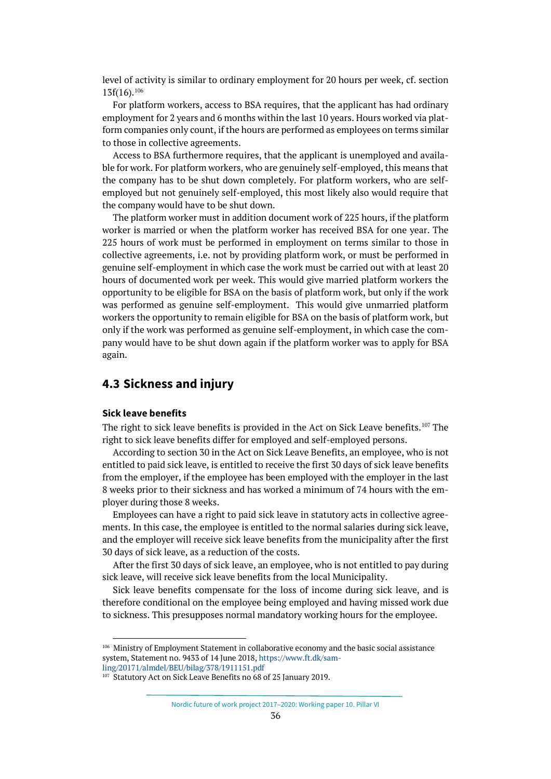level of activity is similar to ordinary employment for 20 hours per week, cf. section 13f(16)[.106](#page-35-1)

For platform workers, access to BSA requires, that the applicant has had ordinary employment for 2 years and 6 months within the last 10 years. Hours worked via platform companies only count, if the hours are performed as employees on terms similar to those in collective agreements.

Access to BSA furthermore requires, that the applicant is unemployed and available for work. For platform workers, who are genuinely self-employed, this means that the company has to be shut down completely. For platform workers, who are selfemployed but not genuinely self-employed, this most likely also would require that the company would have to be shut down.

The platform worker must in addition document work of 225 hours, if the platform worker is married or when the platform worker has received BSA for one year. The 225 hours of work must be performed in employment on terms similar to those in collective agreements, i.e. not by providing platform work, or must be performed in genuine self-employment in which case the work must be carried out with at least 20 hours of documented work per week. This would give married platform workers the opportunity to be eligible for BSA on the basis of platform work, but only if the work was performed as genuine self-employment. This would give unmarried platform workers the opportunity to remain eligible for BSA on the basis of platform work, but only if the work was performed as genuine self-employment, in which case the company would have to be shut down again if the platform worker was to apply for BSA again.

# <span id="page-35-0"></span>**4.3 Sickness and injury**

### **Sick leave benefits**

The right to sick leave benefits is provided in the Act on Sick Leave benefits.[107](#page-35-2) The right to sick leave benefits differ for employed and self-employed persons.

According to section 30 in the Act on Sick Leave Benefits, an employee, who is not entitled to paid sick leave, is entitled to receive the first 30 days of sick leave benefits from the employer, if the employee has been employed with the employer in the last 8 weeks prior to their sickness and has worked a minimum of 74 hours with the employer during those 8 weeks.

Employees can have a right to paid sick leave in statutory acts in collective agreements. In this case, the employee is entitled to the normal salaries during sick leave, and the employer will receive sick leave benefits from the municipality after the first 30 days of sick leave, as a reduction of the costs.

After the first 30 days of sick leave, an employee, who is not entitled to pay during sick leave, will receive sick leave benefits from the local Municipality.

Sick leave benefits compensate for the loss of income during sick leave, and is therefore conditional on the employee being employed and having missed work due to sickness. This presupposes normal mandatory working hours for the employee.

<span id="page-35-1"></span><sup>106</sup> Ministry of Employment Statement in collaborative economy and the basic social assistance system, Statement no. 9433 of 14 June 2018[, https://www.ft.dk/sam](https://www.ft.dk/samling/20171/almdel/BEU/bilag/378/1911151.pdf)[ling/20171/almdel/BEU/bilag/378/1911151.pdf](https://www.ft.dk/samling/20171/almdel/BEU/bilag/378/1911151.pdf)

<span id="page-35-2"></span><sup>&</sup>lt;sup>107</sup> Statutory Act on Sick Leave Benefits no 68 of 25 January 2019.

Nordic future of work project 2017–2020: Working paper 10. Pillar VI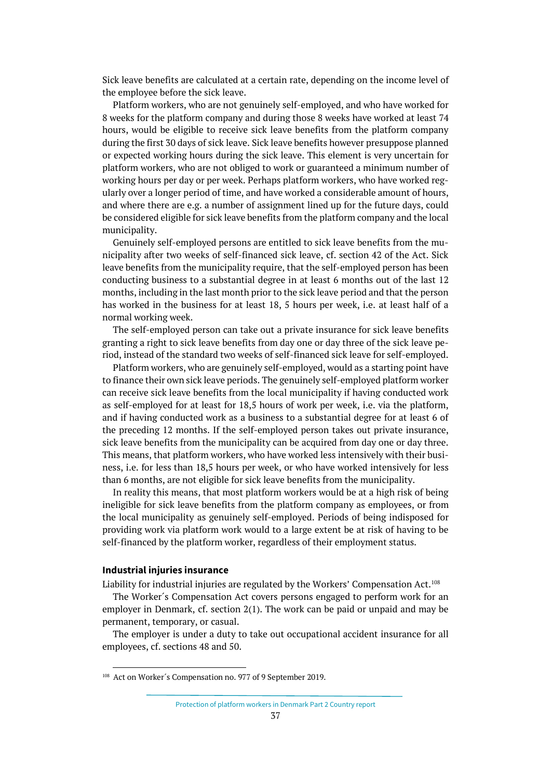Sick leave benefits are calculated at a certain rate, depending on the income level of the employee before the sick leave.

Platform workers, who are not genuinely self-employed, and who have worked for 8 weeks for the platform company and during those 8 weeks have worked at least 74 hours, would be eligible to receive sick leave benefits from the platform company during the first 30 days of sick leave. Sick leave benefits however presuppose planned or expected working hours during the sick leave. This element is very uncertain for platform workers, who are not obliged to work or guaranteed a minimum number of working hours per day or per week. Perhaps platform workers, who have worked regularly over a longer period of time, and have worked a considerable amount of hours, and where there are e.g. a number of assignment lined up for the future days, could be considered eligible for sick leave benefits from the platform company and the local municipality.

Genuinely self-employed persons are entitled to sick leave benefits from the municipality after two weeks of self-financed sick leave, cf. section 42 of the Act. Sick leave benefits from the municipality require, that the self-employed person has been conducting business to a substantial degree in at least 6 months out of the last 12 months, including in the last month prior to the sick leave period and that the person has worked in the business for at least 18, 5 hours per week, i.e. at least half of a normal working week.

The self-employed person can take out a private insurance for sick leave benefits granting a right to sick leave benefits from day one or day three of the sick leave period, instead of the standard two weeks of self-financed sick leave for self-employed.

Platform workers, who are genuinely self-employed, would as a starting point have to finance their own sick leave periods. The genuinely self-employed platform worker can receive sick leave benefits from the local municipality if having conducted work as self-employed for at least for 18,5 hours of work per week, i.e. via the platform, and if having conducted work as a business to a substantial degree for at least 6 of the preceding 12 months. If the self-employed person takes out private insurance, sick leave benefits from the municipality can be acquired from day one or day three. This means, that platform workers, who have worked less intensively with their business, i.e. for less than 18,5 hours per week, or who have worked intensively for less than 6 months, are not eligible for sick leave benefits from the municipality.

In reality this means, that most platform workers would be at a high risk of being ineligible for sick leave benefits from the platform company as employees, or from the local municipality as genuinely self-employed. Periods of being indisposed for providing work via platform work would to a large extent be at risk of having to be self-financed by the platform worker, regardless of their employment status.

## **Industrial injuries insurance**

Liability for industrial injuries are regulated by the Workers' Compensation Act.[108](#page-36-0)

The Worker´s Compensation Act covers persons engaged to perform work for an employer in Denmark, cf. section 2(1). The work can be paid or unpaid and may be permanent, temporary, or casual.

The employer is under a duty to take out occupational accident insurance for all employees, cf. sections 48 and 50.

<span id="page-36-0"></span><sup>&</sup>lt;sup>108</sup> Act on Worker's Compensation no. 977 of 9 September 2019.

Protection of platform workers in Denmark Part 2 Country report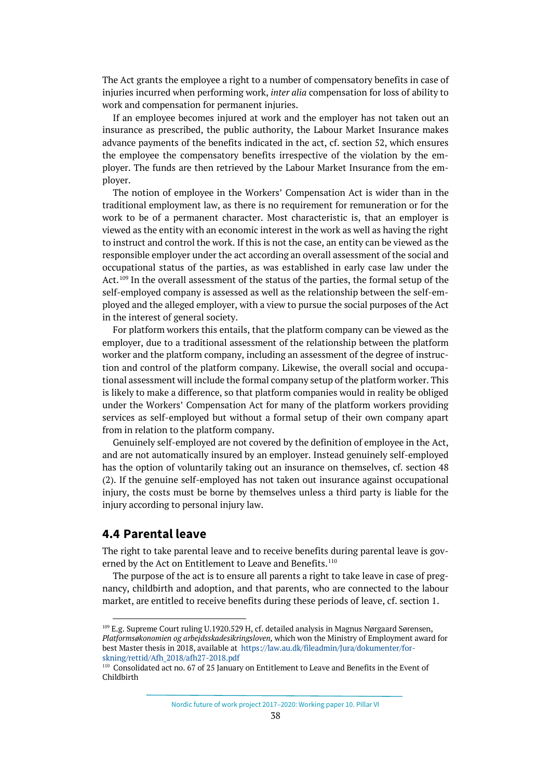The Act grants the employee a right to a number of compensatory benefits in case of injuries incurred when performing work, *inter alia* compensation for loss of ability to work and compensation for permanent injuries.

If an employee becomes injured at work and the employer has not taken out an insurance as prescribed, the public authority, the Labour Market Insurance makes advance payments of the benefits indicated in the act, cf. section 52, which ensures the employee the compensatory benefits irrespective of the violation by the employer. The funds are then retrieved by the Labour Market Insurance from the employer.

The notion of employee in the Workers' Compensation Act is wider than in the traditional employment law, as there is no requirement for remuneration or for the work to be of a permanent character. Most characteristic is, that an employer is viewed as the entity with an economic interest in the work as well as having the right to instruct and control the work. If this is not the case, an entity can be viewed as the responsible employer under the act according an overall assessment of the social and occupational status of the parties, as was established in early case law under the Act.<sup>[109](#page-37-1)</sup> In the overall assessment of the status of the parties, the formal setup of the self-employed company is assessed as well as the relationship between the self-employed and the alleged employer, with a view to pursue the social purposes of the Act in the interest of general society.

For platform workers this entails, that the platform company can be viewed as the employer, due to a traditional assessment of the relationship between the platform worker and the platform company, including an assessment of the degree of instruction and control of the platform company. Likewise, the overall social and occupational assessment will include the formal company setup of the platform worker. This is likely to make a difference, so that platform companies would in reality be obliged under the Workers' Compensation Act for many of the platform workers providing services as self-employed but without a formal setup of their own company apart from in relation to the platform company.

Genuinely self-employed are not covered by the definition of employee in the Act, and are not automatically insured by an employer. Instead genuinely self-employed has the option of voluntarily taking out an insurance on themselves, cf. section 48 (2). If the genuine self-employed has not taken out insurance against occupational injury, the costs must be borne by themselves unless a third party is liable for the injury according to personal injury law.

# <span id="page-37-0"></span>**4.4 Parental leave**

The right to take parental leave and to receive benefits during parental leave is governed by the Act on Entitlement to Leave and Benefits. [110](#page-37-2)

The purpose of the act is to ensure all parents a right to take leave in case of pregnancy, childbirth and adoption, and that parents, who are connected to the labour market, are entitled to receive benefits during these periods of leave, cf. section 1.

Nordic future of work project 2017–2020: Working paper 10. Pillar VI

<span id="page-37-1"></span><sup>109</sup> E.g. Supreme Court ruling U.1920.529 H, cf. detailed analysis in Magnus Nørgaard Sørensen, *Platformsøkonomien og arbejdsskadesikringsloven,* which won the Ministry of Employment award for best Master thesis in 2018, available at [https://law.au.dk/fileadmin/Jura/dokumenter/for](https://law.au.dk/fileadmin/Jura/dokumenter/forskning/rettid/Afh_2018/afh27-2018.pdf)[skning/rettid/Afh\\_2018/afh27-2018.pdf](https://law.au.dk/fileadmin/Jura/dokumenter/forskning/rettid/Afh_2018/afh27-2018.pdf)

<span id="page-37-2"></span><sup>110</sup> Consolidated act no. 67 of 25 January on Entitlement to Leave and Benefits in the Event of Childbirth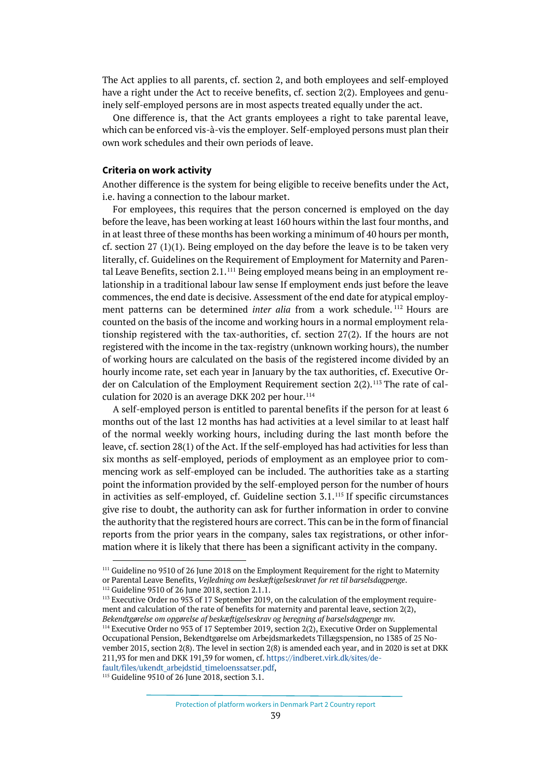The Act applies to all parents, cf. section 2, and both employees and self-employed have a right under the Act to receive benefits, cf. section 2(2). Employees and genuinely self-employed persons are in most aspects treated equally under the act.

One difference is, that the Act grants employees a right to take parental leave, which can be enforced vis-à-vis the employer. Self-employed persons must plan their own work schedules and their own periods of leave.

## **Criteria on work activity**

Another difference is the system for being eligible to receive benefits under the Act, i.e. having a connection to the labour market.

For employees, this requires that the person concerned is employed on the day before the leave, has been working at least 160 hours within the last four months, and in at least three of these months has been working a minimum of 40 hours per month, cf. section 27 (1)(1). Being employed on the day before the leave is to be taken very literally, cf. Guidelines on the Requirement of Employment for Maternity and Paren-tal Leave Benefits, section 2.1.<sup>[111](#page-38-0)</sup> Being employed means being in an employment relationship in a traditional labour law sense If employment ends just before the leave commences, the end date is decisive. Assessment of the end date for atypical employment patterns can be determined *inter alia* from a work schedule. [112](#page-38-1) Hours are counted on the basis of the income and working hours in a normal employment relationship registered with the tax-authorities, cf. section 27(2). If the hours are not registered with the income in the tax-registry (unknown working hours), the number of working hours are calculated on the basis of the registered income divided by an hourly income rate, set each year in January by the tax authorities, cf. Executive Or-der on Calculation of the Employment Requirement section 2(2).<sup>[113](#page-38-2)</sup> The rate of cal-culation for 2020 is an average DKK 202 per hour.<sup>[114](#page-38-3)</sup>

A self-employed person is entitled to parental benefits if the person for at least 6 months out of the last 12 months has had activities at a level similar to at least half of the normal weekly working hours, including during the last month before the leave, cf. section 28(1) of the Act. If the self-employed has had activities for less than six months as self-employed, periods of employment as an employee prior to commencing work as self-employed can be included. The authorities take as a starting point the information provided by the self-employed person for the number of hours in activities as self-employed, cf. Guideline section 3.1.[115](#page-38-4) If specific circumstances give rise to doubt, the authority can ask for further information in order to convine the authority that the registered hours are correct. This can be in the form of financial reports from the prior years in the company, sales tax registrations, or other information where it is likely that there has been a significant activity in the company.

<span id="page-38-4"></span>[fault/files/ukendt\\_arbejdstid\\_timeloenssatser.pdf,](https://indberet.virk.dk/sites/default/files/ukendt_arbejdstid_timeloenssatser.pdf)<br><sup>115</sup> Guideline 9510 of 26 June 2018, section 3.1.

<span id="page-38-0"></span><sup>&</sup>lt;sup>111</sup> Guideline no 9510 of 26 June 2018 on the Employment Requirement for the right to Maternity or Parental Leave Benefits, *Vejledning om beskæftigelseskravet for ret til barselsdagpenge*.

<span id="page-38-1"></span><sup>112</sup> Guideline 9510 of 26 June 2018, section 2.1.1.

<span id="page-38-2"></span><sup>&</sup>lt;sup>113</sup> Executive Order no 953 of 17 September 2019, on the calculation of the employment requirement and calculation of the rate of benefits for maternity and parental leave, section 2(2), *Bekendtgørelse om opgørelse af beskæftigelseskrav og beregning af barselsdagpenge mv.*

<span id="page-38-3"></span><sup>&</sup>lt;sup>114</sup> Executive Order no 953 of 17 September 2019, section 2(2), Executive Order on Supplemental Occupational Pension, Bekendtgørelse om Arbejdsmarkedets Tillægspension, no 1385 of 25 November 2015, section 2(8). The level in section 2(8) is amended each year, and in 2020 is set at DKK 211,93 for men and DKK 191,39 for women, cf[. https://indberet.virk.dk/sites/de-](https://indberet.virk.dk/sites/default/files/ukendt_arbejdstid_timeloenssatser.pdf)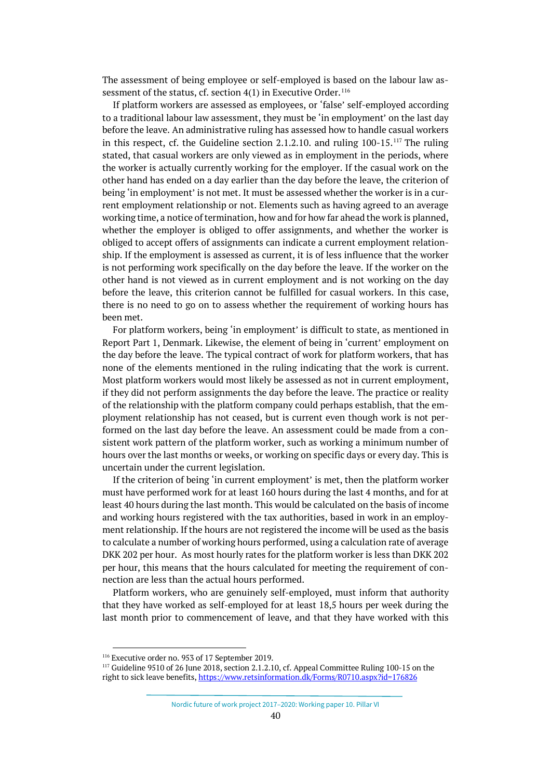The assessment of being employee or self-employed is based on the labour law assessment of the status, cf. section  $4(1)$  in Executive Order.<sup>[116](#page-39-0)</sup>

If platform workers are assessed as employees, or 'false' self-employed according to a traditional labour law assessment, they must be 'in employment' on the last day before the leave. An administrative ruling has assessed how to handle casual workers in this respect, cf. the Guideline section 2.1.2.10. and ruling 100-15.[117](#page-39-1) The ruling stated, that casual workers are only viewed as in employment in the periods, where the worker is actually currently working for the employer. If the casual work on the other hand has ended on a day earlier than the day before the leave, the criterion of being 'in employment' is not met. It must be assessed whether the worker is in a current employment relationship or not. Elements such as having agreed to an average working time, a notice of termination, how and for how far ahead the work is planned, whether the employer is obliged to offer assignments, and whether the worker is obliged to accept offers of assignments can indicate a current employment relationship. If the employment is assessed as current, it is of less influence that the worker is not performing work specifically on the day before the leave. If the worker on the other hand is not viewed as in current employment and is not working on the day before the leave, this criterion cannot be fulfilled for casual workers. In this case, there is no need to go on to assess whether the requirement of working hours has been met.

For platform workers, being 'in employment' is difficult to state, as mentioned in Report Part 1, Denmark. Likewise, the element of being in 'current' employment on the day before the leave. The typical contract of work for platform workers, that has none of the elements mentioned in the ruling indicating that the work is current. Most platform workers would most likely be assessed as not in current employment, if they did not perform assignments the day before the leave. The practice or reality of the relationship with the platform company could perhaps establish, that the employment relationship has not ceased, but is current even though work is not performed on the last day before the leave. An assessment could be made from a consistent work pattern of the platform worker, such as working a minimum number of hours over the last months or weeks, or working on specific days or every day. This is uncertain under the current legislation.

If the criterion of being 'in current employment' is met, then the platform worker must have performed work for at least 160 hours during the last 4 months, and for at least 40 hours during the last month. This would be calculated on the basis of income and working hours registered with the tax authorities, based in work in an employment relationship. If the hours are not registered the income will be used as the basis to calculate a number of working hours performed, using a calculation rate of average DKK 202 per hour. As most hourly rates for the platform worker is less than DKK 202 per hour, this means that the hours calculated for meeting the requirement of connection are less than the actual hours performed.

Platform workers, who are genuinely self-employed, must inform that authority that they have worked as self-employed for at least 18,5 hours per week during the last month prior to commencement of leave, and that they have worked with this

<span id="page-39-0"></span><sup>116</sup> Executive order no. 953 of 17 September 2019.

<span id="page-39-1"></span><sup>&</sup>lt;sup>117</sup> Guideline 9510 of 26 June 2018, section 2.1.2.10, cf. Appeal Committee Ruling 100-15 on the right to sick leave benefits[, https://www.retsinformation.dk/Forms/R0710.aspx?id=176826](https://www.retsinformation.dk/Forms/R0710.aspx?id=176826)

Nordic future of work project 2017–2020: Working paper 10. Pillar VI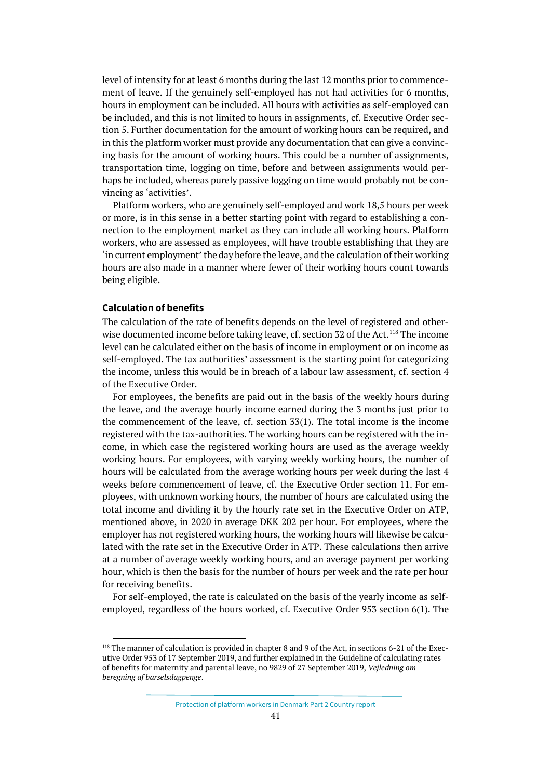level of intensity for at least 6 months during the last 12 months prior to commencement of leave. If the genuinely self-employed has not had activities for 6 months, hours in employment can be included. All hours with activities as self-employed can be included, and this is not limited to hours in assignments, cf. Executive Order section 5. Further documentation for the amount of working hours can be required, and in this the platform worker must provide any documentation that can give a convincing basis for the amount of working hours. This could be a number of assignments, transportation time, logging on time, before and between assignments would perhaps be included, whereas purely passive logging on time would probably not be convincing as 'activities'.

Platform workers, who are genuinely self-employed and work 18,5 hours per week or more, is in this sense in a better starting point with regard to establishing a connection to the employment market as they can include all working hours. Platform workers, who are assessed as employees, will have trouble establishing that they are 'in current employment' the day before the leave, and the calculation of their working hours are also made in a manner where fewer of their working hours count towards being eligible.

### **Calculation of benefits**

The calculation of the rate of benefits depends on the level of registered and other-wise documented income before taking leave, cf. section 32 of the Act.<sup>[118](#page-40-0)</sup> The income level can be calculated either on the basis of income in employment or on income as self-employed. The tax authorities' assessment is the starting point for categorizing the income, unless this would be in breach of a labour law assessment, cf. section 4 of the Executive Order.

For employees, the benefits are paid out in the basis of the weekly hours during the leave, and the average hourly income earned during the 3 months just prior to the commencement of the leave, cf. section 33(1). The total income is the income registered with the tax-authorities. The working hours can be registered with the income, in which case the registered working hours are used as the average weekly working hours. For employees, with varying weekly working hours, the number of hours will be calculated from the average working hours per week during the last 4 weeks before commencement of leave, cf. the Executive Order section 11. For employees, with unknown working hours, the number of hours are calculated using the total income and dividing it by the hourly rate set in the Executive Order on ATP, mentioned above, in 2020 in average DKK 202 per hour. For employees, where the employer has not registered working hours, the working hours will likewise be calculated with the rate set in the Executive Order in ATP. These calculations then arrive at a number of average weekly working hours, and an average payment per working hour, which is then the basis for the number of hours per week and the rate per hour for receiving benefits.

For self-employed, the rate is calculated on the basis of the yearly income as selfemployed, regardless of the hours worked, cf. Executive Order 953 section 6(1). The

<span id="page-40-0"></span><sup>&</sup>lt;sup>118</sup> The manner of calculation is provided in chapter 8 and 9 of the Act, in sections 6-21 of the Executive Order 953 of 17 September 2019, and further explained in the Guideline of calculating rates of benefits for maternity and parental leave, no 9829 of 27 September 2019, *Vejledning om beregning af barselsdagpenge*.

Protection of platform workers in Denmark Part 2 Country report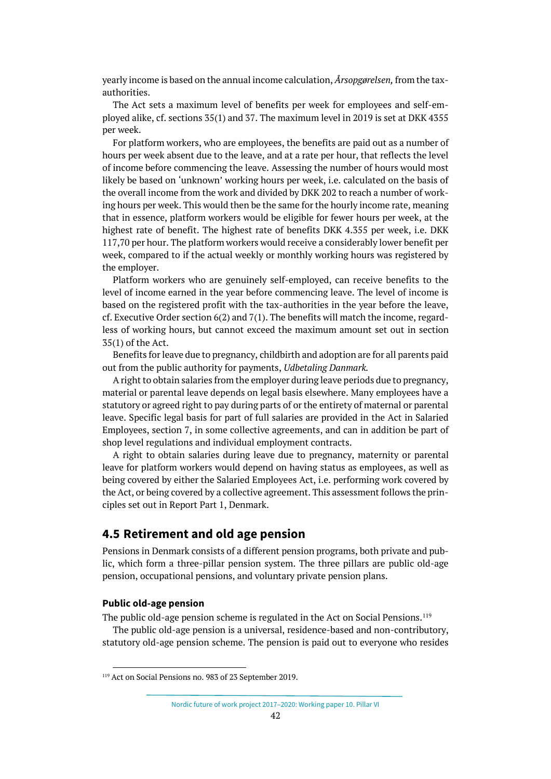yearly income is based on the annual income calculation, *Årsopgørelsen,* from the taxauthorities.

The Act sets a maximum level of benefits per week for employees and self-employed alike, cf. sections 35(1) and 37. The maximum level in 2019 is set at DKK 4355 per week.

For platform workers, who are employees, the benefits are paid out as a number of hours per week absent due to the leave, and at a rate per hour, that reflects the level of income before commencing the leave. Assessing the number of hours would most likely be based on 'unknown' working hours per week, i.e. calculated on the basis of the overall income from the work and divided by DKK 202 to reach a number of working hours per week. This would then be the same for the hourly income rate, meaning that in essence, platform workers would be eligible for fewer hours per week, at the highest rate of benefit. The highest rate of benefits DKK 4.355 per week, i.e. DKK 117,70 per hour. The platform workers would receive a considerably lower benefit per week, compared to if the actual weekly or monthly working hours was registered by the employer.

Platform workers who are genuinely self-employed, can receive benefits to the level of income earned in the year before commencing leave. The level of income is based on the registered profit with the tax-authorities in the year before the leave, cf. Executive Order section 6(2) and 7(1). The benefits will match the income, regardless of working hours, but cannot exceed the maximum amount set out in section 35(1) of the Act.

Benefits for leave due to pregnancy, childbirth and adoption are for all parents paid out from the public authority for payments, *Udbetaling Danmark.*

A right to obtain salaries from the employer during leave periods due to pregnancy, material or parental leave depends on legal basis elsewhere. Many employees have a statutory or agreed right to pay during parts of or the entirety of maternal or parental leave. Specific legal basis for part of full salaries are provided in the Act in Salaried Employees, section 7, in some collective agreements, and can in addition be part of shop level regulations and individual employment contracts.

A right to obtain salaries during leave due to pregnancy, maternity or parental leave for platform workers would depend on having status as employees, as well as being covered by either the Salaried Employees Act, i.e. performing work covered by the Act, or being covered by a collective agreement. This assessment follows the principles set out in Report Part 1, Denmark.

# <span id="page-41-0"></span>**4.5 Retirement and old age pension**

Pensions in Denmark consists of a different pension programs, both private and public, which form a three-pillar pension system. The three pillars are public old-age pension, occupational pensions, and voluntary private pension plans.

## **Public old-age pension**

The public old-age pension scheme is regulated in the Act on Social Pensions.[119](#page-41-1)

The public old-age pension is a universal, residence-based and non-contributory, statutory old-age pension scheme. The pension is paid out to everyone who resides

<span id="page-41-1"></span><sup>119</sup> Act on Social Pensions no. 983 of 23 September 2019.

Nordic future of work project 2017–2020: Working paper 10. Pillar VI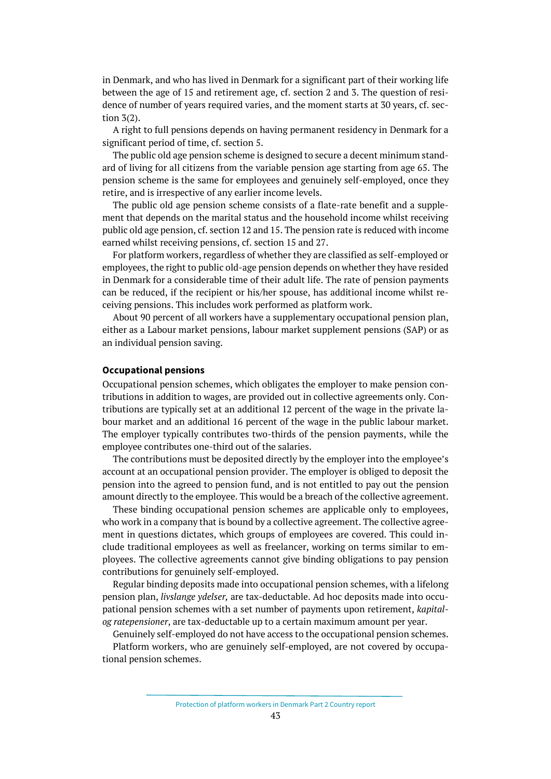in Denmark, and who has lived in Denmark for a significant part of their working life between the age of 15 and retirement age, cf. section 2 and 3. The question of residence of number of years required varies, and the moment starts at 30 years, cf. section 3(2).

A right to full pensions depends on having permanent residency in Denmark for a significant period of time, cf. section 5.

The public old age pension scheme is designed to secure a decent minimum standard of living for all citizens from the variable pension age starting from age 65. The pension scheme is the same for employees and genuinely self-employed, once they retire, and is irrespective of any earlier income levels.

The public old age pension scheme consists of a flate-rate benefit and a supplement that depends on the marital status and the household income whilst receiving public old age pension, cf. section 12 and 15. The pension rate is reduced with income earned whilst receiving pensions, cf. section 15 and 27.

For platform workers, regardless of whether they are classified as self-employed or employees, the right to public old-age pension depends on whether they have resided in Denmark for a considerable time of their adult life. The rate of pension payments can be reduced, if the recipient or his/her spouse, has additional income whilst receiving pensions. This includes work performed as platform work.

About 90 percent of all workers have a supplementary occupational pension plan, either as a Labour market pensions, labour market supplement pensions (SAP) or as an individual pension saving.

## **Occupational pensions**

Occupational pension schemes, which obligates the employer to make pension contributions in addition to wages, are provided out in collective agreements only. Contributions are typically set at an additional 12 percent of the wage in the private labour market and an additional 16 percent of the wage in the public labour market. The employer typically contributes two-thirds of the pension payments, while the employee contributes one-third out of the salaries.

The contributions must be deposited directly by the employer into the employee's account at an occupational pension provider. The employer is obliged to deposit the pension into the agreed to pension fund, and is not entitled to pay out the pension amount directly to the employee. This would be a breach of the collective agreement.

These binding occupational pension schemes are applicable only to employees, who work in a company that is bound by a collective agreement. The collective agreement in questions dictates, which groups of employees are covered. This could include traditional employees as well as freelancer, working on terms similar to employees. The collective agreements cannot give binding obligations to pay pension contributions for genuinely self-employed.

Regular binding deposits made into occupational pension schemes, with a lifelong pension plan, *livslange ydelser,* are tax-deductable. Ad hoc deposits made into occupational pension schemes with a set number of payments upon retirement, *kapitalog ratepensioner*, are tax-deductable up to a certain maximum amount per year.

Genuinely self-employed do not have access to the occupational pension schemes.

Platform workers, who are genuinely self-employed, are not covered by occupational pension schemes.

Protection of platform workers in Denmark Part 2 Country report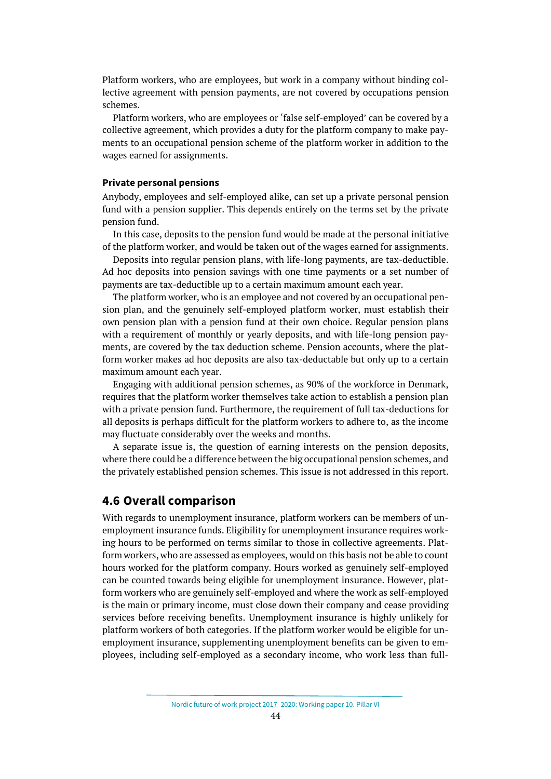Platform workers, who are employees, but work in a company without binding collective agreement with pension payments, are not covered by occupations pension schemes.

Platform workers, who are employees or 'false self-employed' can be covered by a collective agreement, which provides a duty for the platform company to make payments to an occupational pension scheme of the platform worker in addition to the wages earned for assignments.

### **Private personal pensions**

Anybody, employees and self-employed alike, can set up a private personal pension fund with a pension supplier. This depends entirely on the terms set by the private pension fund.

In this case, deposits to the pension fund would be made at the personal initiative of the platform worker, and would be taken out of the wages earned for assignments.

Deposits into regular pension plans, with life-long payments, are tax-deductible. Ad hoc deposits into pension savings with one time payments or a set number of payments are tax-deductible up to a certain maximum amount each year.

The platform worker, who is an employee and not covered by an occupational pension plan, and the genuinely self-employed platform worker, must establish their own pension plan with a pension fund at their own choice. Regular pension plans with a requirement of monthly or yearly deposits, and with life-long pension payments, are covered by the tax deduction scheme. Pension accounts, where the platform worker makes ad hoc deposits are also tax-deductable but only up to a certain maximum amount each year.

Engaging with additional pension schemes, as 90% of the workforce in Denmark, requires that the platform worker themselves take action to establish a pension plan with a private pension fund. Furthermore, the requirement of full tax-deductions for all deposits is perhaps difficult for the platform workers to adhere to, as the income may fluctuate considerably over the weeks and months.

A separate issue is, the question of earning interests on the pension deposits, where there could be a difference between the big occupational pension schemes, and the privately established pension schemes. This issue is not addressed in this report.

## <span id="page-43-0"></span>**4.6 Overall comparison**

With regards to unemployment insurance, platform workers can be members of unemployment insurance funds. Eligibility for unemployment insurance requires working hours to be performed on terms similar to those in collective agreements. Platform workers, who are assessed as employees, would on this basis not be able to count hours worked for the platform company. Hours worked as genuinely self-employed can be counted towards being eligible for unemployment insurance. However, platform workers who are genuinely self-employed and where the work as self-employed is the main or primary income, must close down their company and cease providing services before receiving benefits. Unemployment insurance is highly unlikely for platform workers of both categories. If the platform worker would be eligible for unemployment insurance, supplementing unemployment benefits can be given to employees, including self-employed as a secondary income, who work less than full-

Nordic future of work project 2017–2020: Working paper 10. Pillar VI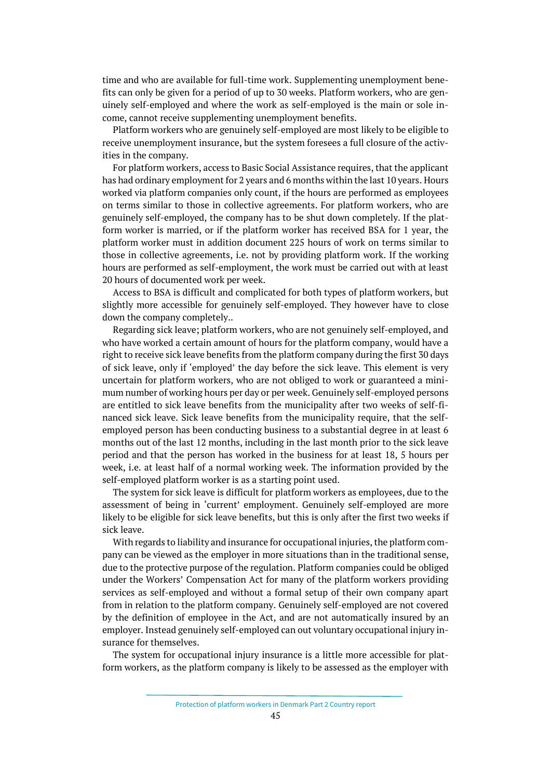time and who are available for full-time work. Supplementing unemployment benefits can only be given for a period of up to 30 weeks. Platform workers, who are genuinely self-employed and where the work as self-employed is the main or sole income, cannot receive supplementing unemployment benefits.

Platform workers who are genuinely self-employed are most likely to be eligible to receive unemployment insurance, but the system foresees a full closure of the activities in the company.

For platform workers, access to Basic Social Assistance requires, that the applicant has had ordinary employment for 2 years and 6 months within the last 10 years. Hours worked via platform companies only count, if the hours are performed as employees on terms similar to those in collective agreements. For platform workers, who are genuinely self-employed, the company has to be shut down completely. If the platform worker is married, or if the platform worker has received BSA for 1 year, the platform worker must in addition document 225 hours of work on terms similar to those in collective agreements, i.e. not by providing platform work. If the working hours are performed as self-employment, the work must be carried out with at least 20 hours of documented work per week.

Access to BSA is difficult and complicated for both types of platform workers, but slightly more accessible for genuinely self-employed. They however have to close down the company completely..

Regarding sick leave; platform workers, who are not genuinely self-employed, and who have worked a certain amount of hours for the platform company, would have a right to receive sick leave benefits from the platform company during the first 30 days of sick leave, only if 'employed' the day before the sick leave. This element is very uncertain for platform workers, who are not obliged to work or guaranteed a minimum number of working hours per day or per week. Genuinely self-employed persons are entitled to sick leave benefits from the municipality after two weeks of self-financed sick leave. Sick leave benefits from the municipality require, that the selfemployed person has been conducting business to a substantial degree in at least 6 months out of the last 12 months, including in the last month prior to the sick leave period and that the person has worked in the business for at least 18, 5 hours per week, i.e. at least half of a normal working week. The information provided by the self-employed platform worker is as a starting point used.

The system for sick leave is difficult for platform workers as employees, due to the assessment of being in 'current' employment. Genuinely self-employed are more likely to be eligible for sick leave benefits, but this is only after the first two weeks if sick leave.

With regards to liability and insurance for occupational injuries, the platform company can be viewed as the employer in more situations than in the traditional sense, due to the protective purpose of the regulation. Platform companies could be obliged under the Workers' Compensation Act for many of the platform workers providing services as self-employed and without a formal setup of their own company apart from in relation to the platform company. Genuinely self-employed are not covered by the definition of employee in the Act, and are not automatically insured by an employer. Instead genuinely self-employed can out voluntary occupational injury insurance for themselves.

The system for occupational injury insurance is a little more accessible for platform workers, as the platform company is likely to be assessed as the employer with

Protection of platform workers in Denmark Part 2 Country report